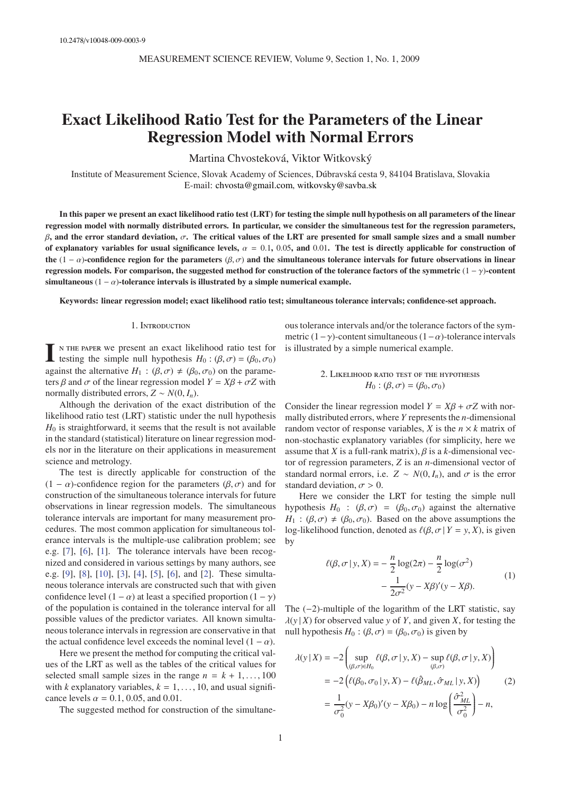# **Exact Likelihood Ratio Test for the Parameters of the Linear Regression Model with Normal Errors**

Martina Chvosteková, Viktor Witkovský

Institute of Measurement Science, Slovak Academy of Sciences, Dúbravská cesta 9, 84104 Bratislava, Slovakia E-mail: [chvosta@gmail.com,](mailto:chvosta@gmail.com) [witkovsky@savba.sk](mailto:witkovsky@savba.sk)

**In this paper we present an exact likelihood ratio test (LRT) for testing the simple null hypothesis on all parameters of the linear regression model with normally distributed errors. In particular, we consider the simultaneous test for the regression parameters,** β**, and the error standard deviation,** σ**. The critical values of the LRT are presented for small sample sizes and a small number** of explanatory variables for usual significance levels,  $\alpha = 0.1$ , 0.05, and 0.01. The test is directly applicable for construction of the (1 − α)-confidence region for the parameters  $(β, σ)$  and the simultaneous tolerance intervals for future observations in linear **regression models. For comparison, the suggested method for construction of the tolerance factors of the symmetric** (1 − γ)**-content** simultaneous  $(1 - \alpha)$ -tolerance intervals is illustrated by a simple numerical example.

**Keywords: linear regression model; exact likelihood ratio test; simultaneous tolerance intervals; confidence-set approach.**

## 1. Introduction

**I** n the paper we present an exact likelihood ratio test for testing the simple null hypothesis  $H_0$ : ( $\beta$ ,  $\sigma$ ) = ( $\beta_0$ ,  $\sigma_0$ ) against the alternative  $H_1$ :  $(\beta, \sigma) \neq (\beta_0, \sigma_0)$  on the parameters  $\beta$  and  $\sigma$  of the linear regression model  $Y = X\beta + \sigma Z$  with normally distributed errors,  $Z \sim N(0, I_n)$ .

Although the derivation of the exact distribution of the likelihood ratio test (LRT) statistic under the null hypothesis  $H_0$  is straightforward, it seems that the result is not available in the standard (statistical) literature on linear regression models nor in the literature on their applications in measurement science and metrology.

The test is directly applicable for construction of the  $(1 - \alpha)$ -confidence region for the parameters  $(\beta, \sigma)$  and for construction of the simultaneous tolerance intervals for future observations in linear regression models. The simultaneous tolerance intervals are important for many measurement procedures. The most common application for simultaneous tolerance intervals is the multiple-use calibration problem; see e.g. [\[7\]](#page-4-0), [\[6](#page-4-1)], [\[1](#page-4-2)]. The tolerance intervals have been recognized and considered in various settings by many authors, see e.g. [\[9](#page-4-3)], [\[8](#page-4-4)], [\[10\]](#page-4-5), [\[3\]](#page-4-6), [\[4](#page-4-7)], [\[5\]](#page-4-8), [\[6\]](#page-4-1), and [\[2](#page-4-9)]. These simultaneous tolerance intervals are constructed such that with given confidence level  $(1 - \alpha)$  at least a specified proportion  $(1 - \gamma)$ of the population is contained in the tolerance interval for all possible values of the predictor variates. All known simultaneous tolerance intervals in regression are conservative in that the actual confidence level exceeds the nominal level  $(1 - \alpha)$ .

Here we present the method for computing the critical values of the LRT as well as the tables of the critical values for selected small sample sizes in the range  $n = k + 1, \ldots, 100$ with *k* explanatory variables,  $k = 1, \ldots, 10$ , and usual significance levels  $\alpha = 0.1, 0.05,$  and 0.01.

The suggested method for construction of the simultane-

ous tolerance intervals and/or the tolerance factors of the symmetric  $(1-\gamma)$ -content simultaneous  $(1-\alpha)$ -tolerance intervals is illustrated by a simple numerical example.

2. LIKELIHOOD RATIO TEST OF THE HYPOTHESIS 
$$
H_0: (\beta, \sigma) = (\beta_0, \sigma_0)
$$

Consider the linear regression model  $Y = X\beta + \sigma Z$  with normally distributed errors, where *Y* represents the *n*-dimensional random vector of response variables, *X* is the  $n \times k$  matrix of non-stochastic explanatory variables (for simplicity, here we assume that *X* is a full-rank matrix),  $\beta$  is a *k*-dimensional vector of regression parameters, *Z* is an *n*-dimensional vector of standard normal errors, i.e.  $Z \sim N(0, I_n)$ , and  $\sigma$  is the error standard deviation,  $\sigma > 0$ .

Here we consider the LRT for testing the simple null hypothesis  $H_0$  :  $(\beta, \sigma) = (\beta_0, \sigma_0)$  against the alternative  $H_1$ :  $(\beta, \sigma) \neq (\beta_0, \sigma_0)$ . Based on the above assumptions the log-likelihood function, denoted as  $\ell(\beta, \sigma | Y = y, X)$ , is given by

$$
\ell(\beta, \sigma | y, X) = -\frac{n}{2} \log(2\pi) - \frac{n}{2} \log(\sigma^2)
$$

$$
-\frac{1}{2\sigma^2} (y - X\beta)'(y - X\beta).
$$
 (1)

The  $(-2)$ -multiple of the logarithm of the LRT statistic, say  $\lambda(y|X)$  for observed value *y* of *Y*, and given *X*, for testing the null hypothesis  $H_0$ : ( $\beta$ ,  $\sigma$ ) = ( $\beta_0$ ,  $\sigma_0$ ) is given by

$$
\lambda(y|X) = -2 \left( \sup_{(\beta,\sigma)\in H_0} \ell(\beta,\sigma|y,X) - \sup_{(\beta,\sigma)} \ell(\beta,\sigma|y,X) \right)
$$
  
= -2\left( \ell(\beta\_0,\sigma\_0|y,X) - \ell(\hat{\beta}\_{ML},\hat{\sigma}\_{ML}|y,X) \right) (2)  
=  $\frac{1}{\sigma_0^2} (y - X\beta_0)'(y - X\beta_0) - n \log \left( \frac{\hat{\sigma}_{ML}^2}{\sigma_0^2} \right) - n,$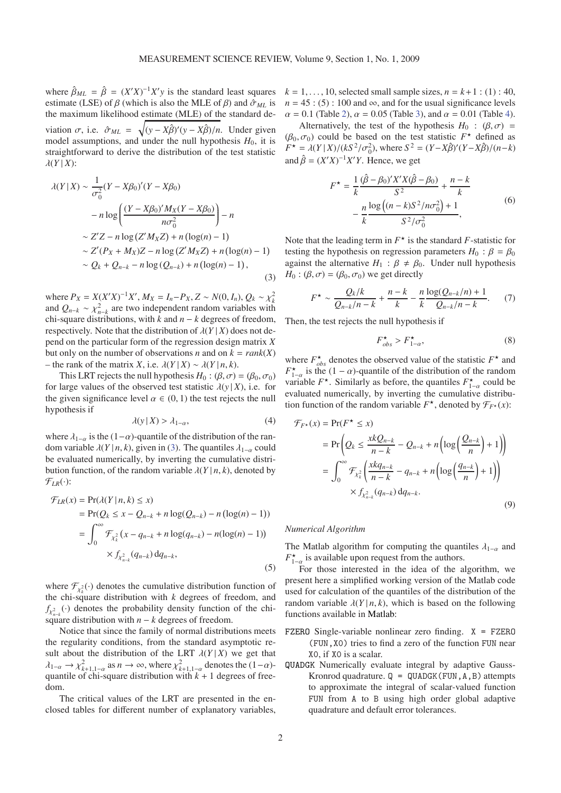where  $\hat{\beta}_{ML} = \hat{\beta} = (X'X)^{-1}X'y$  is the standard least squares estimate (LSE) of  $\beta$  (which is also the MLE of  $\beta$ ) and  $\hat{\sigma}_{ML}$  is the maximum likelihood estimate (MLE) of the standard deviation  $\sigma$ , i.e.  $\hat{\sigma}_{ML} = \sqrt{(y - X\hat{\beta})'(y - X\hat{\beta})/n}$ . Under given model assumptions, and under the null hypothesis  $H_0$ , it is straightforward to derive the distribution of the test statistic  $\lambda(Y|X)$ :

<span id="page-1-0"></span>
$$
\lambda(Y|X) \sim \frac{1}{\sigma_0^2} (Y - X\beta_0)'(Y - X\beta_0)
$$
  
-  $n \log \left( \frac{(Y - X\beta_0)' M_X (Y - X\beta_0)}{n \sigma_0^2} \right) - n$   
 $\sim Z'Z - n \log (Z'M_XZ) + n (\log(n) - 1)$   
 $\sim Z'(P_X + M_X)Z - n \log (Z'M_XZ) + n (\log(n) - 1)$   
 $\sim Q_k + Q_{n-k} - n \log (Q_{n-k}) + n (\log(n) - 1),$  (3)

where  $P_X = X(X'X)^{-1}X'$ ,  $M_X = I_n - P_X$ ,  $Z \sim N(0, I_n)$ ,  $Q_k \sim \chi_k^2$ and  $Q_{n-k} \sim \chi^2_{n-k}$  are two independent random variables with chi-square distributions, with *k* and *n* − *k* degrees of freedom, respectively. Note that the distribution of  $\lambda(Y|X)$  does not depend on the particular form of the regression design matrix *X* but only on the number of observations *n* and on  $k = rank(X)$ – the rank of the matrix *X*, i.e. λ(*Y* | *X*) ∼ λ(*Y* | *n*, *k*).

This LRT rejects the null hypothesis  $H_0$ : ( $\beta$ ,  $\sigma$ ) = ( $\beta_0$ ,  $\sigma_0$ ) for large values of the observed test statistic  $\lambda(y|X)$ , i.e. for the given significance level  $\alpha \in (0, 1)$  the test rejects the null hypothesis if

<span id="page-1-1"></span>
$$
\lambda(y \mid X) > \lambda_{1-\alpha},\tag{4}
$$

where  $\lambda_{1-\alpha}$  is the (1- $\alpha$ )-quantile of the distribution of the random variable  $\lambda(Y | n, k)$ , given in [\(3\)](#page-1-0). The quantiles  $\lambda_{1-\alpha}$  could be evaluated numerically, by inverting the cumulative distribution function, of the random variable  $\lambda(Y|n, k)$ , denoted by  $\mathcal{F}_{LR}(\cdot)$ :

$$
\mathcal{F}_{LR}(x) = \Pr(\lambda(Y \mid n, k) \le x) \n= \Pr(Q_k \le x - Q_{n-k} + n \log(Q_{n-k}) - n(\log(n) - 1)) \n= \int_0^\infty \mathcal{F}_{\chi_k^2}(x - q_{n-k} + n \log(q_{n-k}) - n(\log(n) - 1)) \n\times f_{\chi_{n-k}^2}(q_{n-k}) dq_{n-k},
$$
\n(5)

where  $\mathcal{F}_{\chi^2}(\cdot)$  denotes the cumulative distribution function of the chi-square distribution with *k* degrees of freedom, and  $f_{\chi^2_{n-k}}(\cdot)$  denotes the probability density function of the chisquare distribution with  $n - k$  degrees of freedom.

Notice that since the family of normal distributions meets the regularity conditions, from the standard asymptotic result about the distribution of the LRT  $\lambda(Y|X)$  we get that  $\lambda_{1-\alpha} \to \chi^2_{k+1,1-\alpha}$  as  $n \to \infty$ , where  $\chi^2_{k+1,1-\alpha}$  denotes the  $(1-\alpha)$ quantile of chi-square distribution with  $k + 1$  degrees of freedom.

The critical values of the LRT are presented in the enclosed tables for different number of explanatory variables,  $k = 1, \ldots, 10$ , selected small sample sizes,  $n = k+1$ : (1): 40,  $n = 45$ : (5): 100 and  $\infty$ , and for the usual significance levels  $\alpha = 0.1$  (Table [2\)](#page-5-0),  $\alpha = 0.05$  (Table [3\)](#page-6-0), and  $\alpha = 0.01$  (Table [4\)](#page-7-0).

Alternatively, the test of the hypothesis  $H_0$  :  $(\beta, \sigma)$  =  $(\beta_0, \sigma_0)$  could be based on the test statistic  $F^*$  defined as  $F^* = \lambda(Y|X)/(kS^2/\sigma_0^2)$ , where  $S^2 = (Y - X\hat{\beta})'(Y - X\hat{\beta})/(n-k)$ and  $\hat{\beta} = (X'X)^{-1}X'Y$ . Hence, we get

$$
F^* = \frac{1}{k} \frac{(\hat{\beta} - \beta_0)' X' X (\hat{\beta} - \beta_0)}{S^2} + \frac{n - k}{k}
$$
  
- 
$$
\frac{n}{k} \frac{\log((n - k)S^2/n\sigma_0^2) + 1}{S^2/\sigma_0^2},
$$
 (6)

Note that the leading term in  $F^*$  is the standard *F*-statistic for testing the hypothesis on regression parameters  $H_0$  :  $\beta = \beta_0$ against the alternative  $H_1$ :  $\beta \neq \beta_0$ . Under null hypothesis  $H_0$ : ( $\beta$ ,  $\sigma$ ) = ( $\beta_0$ ,  $\sigma_0$ ) we get directly

$$
F^{\star} \sim \frac{Q_k/k}{Q_{n-k}/n-k} + \frac{n-k}{k} - \frac{n}{k} \frac{\log(Q_{n-k}/n) + 1}{Q_{n-k}/n-k}.
$$
 (7)

Then, the test rejects the null hypothesis if

<span id="page-1-2"></span>
$$
F_{obs}^{\star} > F_{1-\alpha}^{\star},\tag{8}
$$

where  $F_{obs}^{\star}$  denotes the observed value of the statistic  $F^{\star}$  and  $F_{1-\alpha}^{\star}$  is the (1 –  $\alpha$ )-quantile of the distribution of the random variable  $F^*$ . Similarly as before, the quantiles  $F_{1-\alpha}^*$  could be evaluated numerically, by inverting the cumulative distribution function of the random variable  $F^*$ , denoted by  $\mathcal{F}_{F^*}(x)$ :

$$
\mathcal{F}_{F^*}(x) = \Pr(F^* \le x)
$$
  
= 
$$
\Pr\left(Q_k \le \frac{xkQ_{n-k}}{n-k} - Q_{n-k} + n\left(\log\left(\frac{Q_{n-k}}{n}\right) + 1\right)\right)
$$
  
= 
$$
\int_0^\infty \mathcal{F}_{\chi_k^2}\left(\frac{xkq_{n-k}}{n-k} - q_{n-k} + n\left(\log\left(\frac{q_{n-k}}{n}\right) + 1\right)\right)
$$
  

$$
\times f_{\chi_{n-k}^2}(q_{n-k}) dq_{n-k}.
$$
 (9)

## *Numerical Algorithm*

(*x*) = Pr(*F*

The Matlab algorithm for computing the quantiles  $\lambda_{1-\alpha}$  and  $F_{1-\alpha}^{\star}$  is available upon request from the authors.

For those interested in the idea of the algorithm, we present here a simplified working version of the Matlab code used for calculation of the quantiles of the distribution of the random variable  $\lambda(Y|n, k)$ , which is based on the following functions available in [Matlab:](http://www.mathworks.com/products/matlab/)

- [FZERO](http://www.mathworks.com/access/helpdesk/help/techdoc/index.html?/access/helpdesk/help/techdoc/ref/fzero.html) Single-variable nonlinear zero finding.  $X = FZERO$ (FUN,X0) tries to find a zero of the function FUN near X0, if X0 is a scalar.
- [QUADGK](http://www.mathworks.com/access/helpdesk/help/techdoc/index.html?/access/helpdesk/help/techdoc/ref/quadgk.html) Numerically evaluate integral by adaptive Gauss-Kronrod quadrature.  $Q = QUADGK$  (FUN, A, B) attempts to approximate the integral of scalar-valued function FUN from A to B using high order global adaptive quadrature and default error tolerances.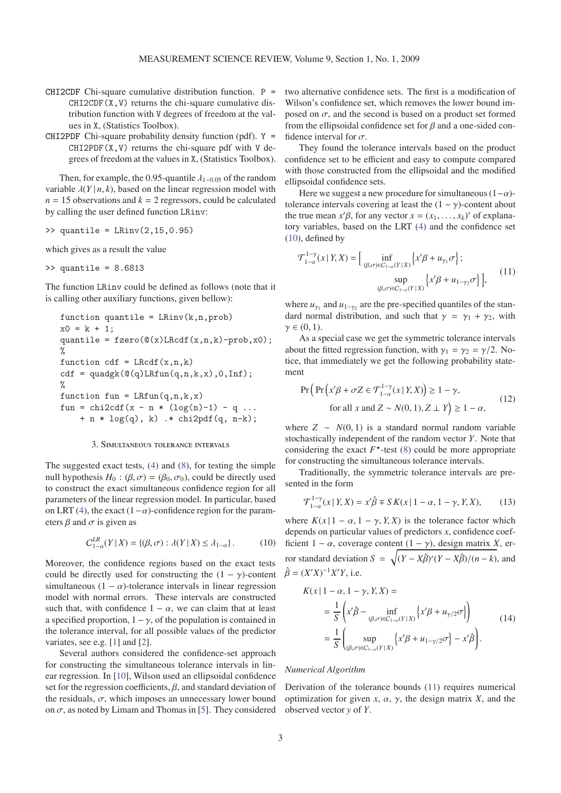- [CHI2CDF](http://www.mathworks.com/access/helpdesk/help/toolbox/stats/index.html?/access/helpdesk/help/toolbox/stats/chi2cdf.html) Chi-square cumulative distribution function.  $P =$  $CHI2CDF(X, V)$  returns the chi-square cumulative distribution function with V degrees of freedom at the values in X, (Statistics Toolbox).
- [CHI2PDF](http://www.mathworks.com/access/helpdesk/help/toolbox/stats/index.html?/access/helpdesk/help/toolbox/stats/chi2pdf) Chi-square probability density function (pdf).  $Y =$  $CHI2PDF(X, V)$  returns the chi-square pdf with V degrees of freedom at the values in X, (Statistics Toolbox).

Then, for example, the 0.95-quantile  $\lambda_{1-0.05}$  of the random variable  $\lambda(Y | n, k)$ , based on the linear regression model with  $n = 15$  observations and  $k = 2$  regressors, could be calculated by calling the user defined function LRinv:

$$
\Rightarrow \text{quantile} = \text{LRinv}(2, 15, 0.95)
$$

which gives as a result the value

>> quantile = 8.6813

The function LRinv could be defined as follows (note that it is calling other auxiliary functions, given bellow):

function quantile = LRinv(k, n, prob)  
\nx0 = k + 1;  
\nquantile = fzero(
$$
\mathcal{Q}(x)
$$
LRcdf(x, n, k) - prob, x0);  
\n%  
\nfunction cdf = LRcdf(x, n, k)  
\ncdf = quadgk( $\mathcal{Q}(q)$ LRfun(q, n, k, x), 0, Inf);  
\n%  
\nfunction fun = LRfun(q, n, k, x)  
\nfun = chi2cdf(x - n \* (log(n)-1) - q ...  
\n+ n \* log(q), k) .\* chi2pdf(q, n-k);

## 3. Simultaneous tolerance intervals

The suggested exact tests, [\(4\)](#page-1-1) and [\(8\)](#page-1-2), for testing the simple null hypothesis  $H_0$ : ( $\beta$ ,  $\sigma$ ) = ( $\beta_0$ ,  $\sigma_0$ ), could be directly used to construct the exact simultaneous confidence region for all parameters of the linear regression model. In particular, based on LRT [\(4\)](#page-1-1), the exact  $(1-\alpha)$ -confidence region for the parameters  $\beta$  and  $\sigma$  is given as

<span id="page-2-0"></span>
$$
C_{1-\alpha}^{LR}(Y \mid X) = \{ (\beta, \sigma) : \lambda(Y \mid X) \le \lambda_{1-\alpha} \}.
$$
 (10)

Moreover, the confidence regions based on the exact tests could be directly used for constructing the  $(1 - \gamma)$ -content simultaneous (1 –  $\alpha$ )-tolerance intervals in linear regression model with normal errors. These intervals are constructed such that, with confidence  $1 - \alpha$ , we can claim that at least a specified proportion,  $1 - \gamma$ , of the population is contained in the tolerance interval, for all possible values of the predictor variates, see e.g. [\[1](#page-4-2)] and [\[2](#page-4-9)].

Several authors considered the confidence-set approach for constructing the simultaneous tolerance intervals in linear regression. In [\[10\]](#page-4-5), Wilson used an ellipsoidal confidence set for the regression coefficients,  $\beta$ , and standard deviation of the residuals,  $\sigma$ , which imposes an unnecessary lower bound on  $\sigma$ , as noted by Limam and Thomas in [\[5](#page-4-8)]. They considered two alternative confidence sets. The first is a modification of Wilson's confidence set, which removes the lower bound imposed on  $\sigma$ , and the second is based on a product set formed from the ellipsoidal confidence set for  $\beta$  and a one-sided confidence interval for  $\sigma$ .

They found the tolerance intervals based on the product confidence set to be efficient and easy to compute compared with those constructed from the ellipsoidal and the modified ellipsoidal confidence sets.

Here we suggest a new procedure for simultaneous  $(1-\alpha)$ tolerance intervals covering at least the  $(1 - \gamma)$ -content about the true mean  $x'\beta$ , for any vector  $x = (x_1, \ldots, x_k)'$  of explanatory variables, based on the LRT [\(4\)](#page-1-1) and the confidence set [\(10\)](#page-2-0), defined by

<span id="page-2-1"></span>
$$
\mathcal{T}_{1-\alpha}^{1-\gamma}(x \mid Y, X) = \Big[ \inf_{(\beta, \sigma) \in C_{1-\alpha}(Y \mid X)} \Big\{ x' \beta + u_{\gamma_1} \sigma \Big\};
$$
  
\n
$$
\sup_{(\beta, \sigma) \in C_{1-\alpha}(Y \mid X)} \Big\{ x' \beta + u_{1-\gamma_2} \sigma \Big\} \Big],
$$
\n(11)

where  $u_{\gamma_1}$  and  $u_{1-\gamma_2}$  are the pre-specified quantiles of the standard normal distribution, and such that  $\gamma = \gamma_1 + \gamma_2$ , with  $\gamma \in (0, 1)$ .

As a special case we get the symmetric tolerance intervals about the fitted regression function, with  $\gamma_1 = \gamma_2 = \gamma/2$ . Notice, that immediately we get the following probability statement

$$
\Pr\left(\Pr\left(x'\beta + \sigma Z \in \mathcal{T}_{1-\alpha}^{1-\gamma}(x \mid Y, X)\right) \ge 1 - \gamma, \right\}
$$
\n
$$
\text{for all } x \text{ and } Z \sim N(0, 1), Z \perp Y \ge 1 - \alpha,
$$
\n
$$
(12)
$$

where  $Z \sim N(0, 1)$  is a standard normal random variable stochastically independent of the random vector *Y*. Note that considering the exact  $F^*$ -test [\(8\)](#page-1-2) could be more appropriate for constructing the simultaneous tolerance intervals.

Traditionally, the symmetric tolerance intervals are presented in the form

<span id="page-2-3"></span>
$$
\mathcal{T}_{1-\alpha}^{1-\gamma}(x \mid Y, X) = x'\hat{\beta} \mp S K(x \mid 1-\alpha, 1-\gamma, Y, X), \quad (13)
$$

where  $K(x | 1 - \alpha, 1 - \gamma, Y, X)$  is the tolerance factor which depends on particular values of predictors *x*, confidence coefficient  $1 - \alpha$ , coverage content  $(1 - \gamma)$ , design matrix *X*, error standard deviation  $S = \sqrt{(Y - X\hat{\beta})'(Y - X\hat{\beta})/(n - k)}$ , and  $\hat{\beta} = (X'X)^{-1}X'Y$ , i.e.

<span id="page-2-2"></span>
$$
K(x | 1 - \alpha, 1 - \gamma, Y, X) =
$$
  
= 
$$
\frac{1}{S} \left( x' \hat{\beta} - \inf_{(\beta, \sigma) \in C_{1-\alpha}(Y | X)} \left\{ x' \beta + u_{\gamma/2} \sigma \right\} \right)
$$
  
= 
$$
\frac{1}{S} \left( \sup_{(\beta, \sigma) \in C_{1-\alpha}(Y | X)} \left\{ x' \beta + u_{1-\gamma/2} \sigma \right\} - x' \hat{\beta} \right).
$$
 (14)

#### *Numerical Algorithm*

Derivation of the tolerance bounds [\(11\)](#page-2-1) requires numerical optimization for given  $x$ ,  $\alpha$ ,  $\gamma$ , the design matrix  $X$ , and the observed vector *y* of *Y*.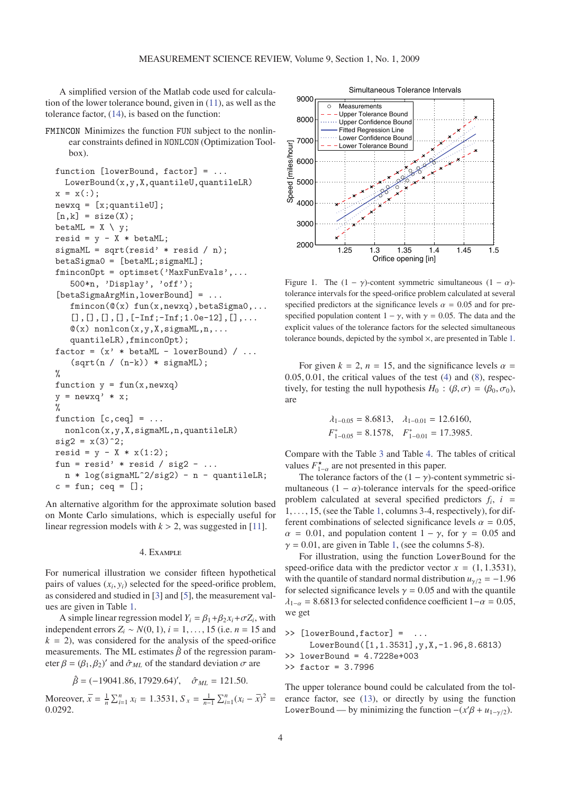A simplified version of the Matlab code used for calculation of the lower tolerance bound, given in [\(11\)](#page-2-1), as well as the tolerance factor, [\(14\)](#page-2-2), is based on the function:

[FMINCON](http://www.mathworks.com/access/helpdesk/help/techdoc/index.html?/access/helpdesk/help/techdoc/ref/fmincon.html) Minimizes the function FUN subject to the nonlinear constraints defined in NONLCON (Optimization Toolbox).

```
function [lowerBound, factor] = ...
  LowerBound(x,y,X,quantileU,quantileLR)
x = x(:):newxq = [x;quantileU];[n,k] = size(X);betaML = X \setminus y;
resid = y - X * betaML;sigmaML = sqrt(resid' * resid / n);
betaSigma0 = [betaML;sigmaML];
fminconOpt = optimset('MaxFunEvals',...
   500*n, 'Display', 'off');
[betaSigmaArgMin,lowerBound] = ...
   fmincon(\mathbb{Q}(x) \text{ fun}(x,newxq),betaSigma0,...[.],[.],[.],[.],[-Inf; -Inf; 1.0e-12],[.]\mathcal{O}(x) nonlcon(x,y,X,sigmaML,n,...
   quantileLR),fminconOpt);
factor = (x' * betaML - lowerBound) / ...(sqrt(n / (n-k)) * sigmaML);%
function y = fun(x, newxq)y = newxq' * x;\frac{9}{6}function [c, ceq] = ...nonlcon(x,y,X,sigmaML,n,quantileLR)
sig2 = x(3)^2;
resid = y - X * x(1:2);fun = resid' * resid / sig2 - ...
  n * log(sigmaML^2/sig2) - n - quantileLR;c = fun; ceq = [];
```
An alternative algorithm for the approximate solution based on Monte Carlo simulations, which is especially useful for linear regression models with  $k > 2$ , was suggested in [\[11\]](#page-4-10).

## 4. Example

For numerical illustration we consider fifteen hypothetical pairs of values  $(x_i, y_i)$  selected for the speed-orifice problem, as considered and studied in [\[3\]](#page-4-6) and [\[5\]](#page-4-8), the measurement values are given in Table [1.](#page-4-11)

A simple linear regression model  $Y_i = \beta_1 + \beta_2 x_i + \sigma Z_i$ , with independent errors  $Z_i$  ∼  $N(0, 1)$ ,  $i = 1, \ldots, 15$  (i.e.  $n = 15$  and  $k = 2$ , was considered for the analysis of the speed-orifice measurements. The ML estimates  $\hat{\beta}$  of the regression parameter  $\beta = (\beta_1, \beta_2)'$  and  $\hat{\sigma}_{ML}$  of the standard deviation  $\sigma$  are

$$
\hat{\beta} = (-19041.86, 17929.64)' , \quad \hat{\sigma}_{ML} = 121.50.
$$

Moreover,  $\bar{x} = \frac{1}{n} \sum_{i=1}^{n} x_i = 1.3531$ ,  $S_x = \frac{1}{n-1} \sum_{i=1}^{n} (x_i - \bar{x})^2 =$ 0.0292.



Figure 1. The  $(1 - \gamma)$ -content symmetric simultaneous  $(1 - \alpha)$ tolerance intervals for the speed-orifice problem calculated at several specified predictors at the significance levels  $\alpha = 0.05$  and for prespecified population content  $1 - \gamma$ , with  $\gamma = 0.05$ . The data and the explicit values of the tolerance factors for the selected simultaneous tolerance bounds, depicted by the symbol  $\times$ , are presented in Table [1.](#page-4-11)

For given  $k = 2$ ,  $n = 15$ , and the significance levels  $\alpha =$  $0.05, 0.01$ , the critical values of the test  $(4)$  and  $(8)$ , respectively, for testing the null hypothesis  $H_0$ :  $(\beta, \sigma) = (\beta_0, \sigma_0)$ , are

$$
\lambda_{1-0.05} = 8.6813
$$
,  $\lambda_{1-0.01} = 12.6160$ ,  
\n $F_{1-0.05}^* = 8.1578$ ,  $F_{1-0.01}^* = 17.3985$ .

Compare with the Table [3](#page-6-0) and Table [4.](#page-7-0) The tables of critical values  $F_{1-\alpha}^{\star}$  are not presented in this paper.

The tolerance factors of the  $(1 - \gamma)$ -content symmetric simultaneous  $(1 - \alpha)$ -tolerance intervals for the speed-orifice problem calculated at several specified predictors  $f_i$ ,  $i =$ 1,..., 15, (see the Table [1,](#page-4-11) columns 3-4, respectively), for different combinations of selected significance levels  $\alpha = 0.05$ ,  $\alpha$  = 0.01, and population content 1 –  $\gamma$ , for  $\gamma$  = 0.05 and  $\gamma = 0.01$ , are given in Table [1,](#page-4-11) (see the columns 5-8).

For illustration, using the function LowerBound for the speed-orifice data with the predictor vector  $x = (1, 1.3531)$ , with the quantile of standard normal distribution  $u_{\gamma/2} = -1.96$ for selected significance levels  $\gamma = 0.05$  and with the quantile  $\lambda_{1-\alpha} = 8.6813$  for selected confidence coefficient  $1-\alpha = 0.05$ , we get

```
>> [lowerBound,factor] = ...
    LowerBound([1,1.3531],y,X,-1.96,8.6813)
>> lowerBound = 4.7228e+003
>> factor = 3.7996
```
The upper tolerance bound could be calculated from the tolerance factor, see [\(13\)](#page-2-3), or directly by using the function LowerBound — by minimizing the function  $-(x'\beta + u_{1-\gamma/2})$ .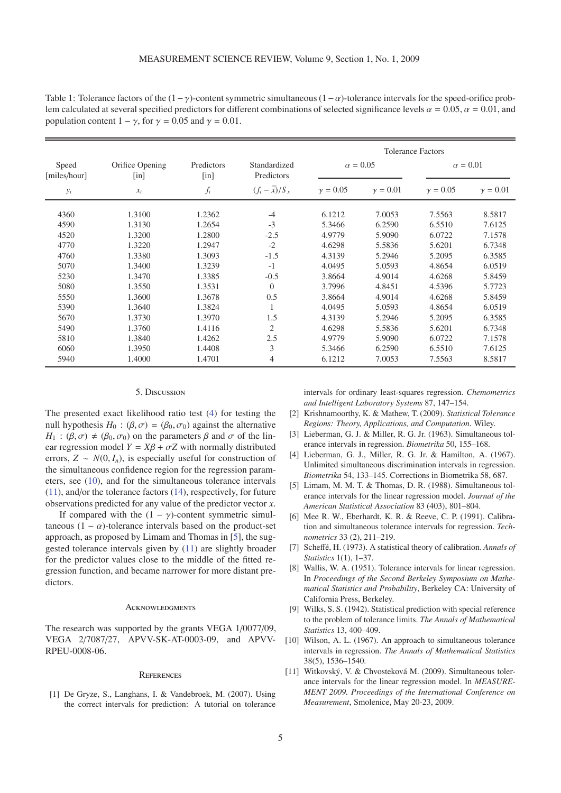<span id="page-4-11"></span>Table 1: Tolerance factors of the  $(1-\gamma)$ -content symmetric simultaneous  $(1-\alpha)$ -tolerance intervals for the speed-orifice problem calculated at several specified predictors for different combinations of selected significance levels  $\alpha = 0.05$ ,  $\alpha = 0.01$ , and population content  $1 - \gamma$ , for  $\gamma = 0.05$  and  $\gamma = 0.01$ .

|                       |                         | Predictors<br>[in] | Standardized<br>Predictors | <b>Tolerance Factors</b> |                 |                 |                 |  |  |
|-----------------------|-------------------------|--------------------|----------------------------|--------------------------|-----------------|-----------------|-----------------|--|--|
| Speed<br>[miles/hour] | Orifice Opening<br>[in] |                    |                            |                          | $\alpha = 0.05$ | $\alpha = 0.01$ |                 |  |  |
| $y_i$                 | $x_i$                   | $f_i$              | $(f_i - \overline{x})/S_x$ | $\gamma = 0.05$          | $\gamma = 0.01$ | $\gamma = 0.05$ | $\gamma = 0.01$ |  |  |
| 4360                  | 1.3100                  | 1.2362             | $-4$                       | 6.1212                   | 7.0053          | 7.5563          | 8.5817          |  |  |
| 4590                  | 1.3130                  | 1.2654             | $-3$                       | 5.3466                   | 6.2590          | 6.5510          | 7.6125          |  |  |
| 4520                  | 1.3200                  | 1.2800             | $-2.5$                     | 4.9779                   | 5.9090          | 6.0722          | 7.1578          |  |  |
| 4770                  | 1.3220                  | 1.2947             | $-2$                       | 4.6298                   | 5.5836          | 5.6201          | 6.7348          |  |  |
| 4760                  | 1.3380                  | 1.3093             | $-1.5$                     | 4.3139                   | 5.2946          | 5.2095          | 6.3585          |  |  |
| 5070                  | 1.3400                  | 1.3239             | $-1$                       | 4.0495                   | 5.0593          | 4.8654          | 6.0519          |  |  |
| 5230                  | 1.3470                  | 1.3385             | $-0.5$                     | 3.8664                   | 4.9014          | 4.6268          | 5.8459          |  |  |
| 5080                  | 1.3550                  | 1.3531             | $\overline{0}$             | 3.7996                   | 4.8451          | 4.5396          | 5.7723          |  |  |
| 5550                  | 1.3600                  | 1.3678             | 0.5                        | 3.8664                   | 4.9014          | 4.6268          | 5.8459          |  |  |
| 5390                  | 1.3640                  | 1.3824             |                            | 4.0495                   | 5.0593          | 4.8654          | 6.0519          |  |  |
| 5670                  | 1.3730                  | 1.3970             | 1.5                        | 4.3139                   | 5.2946          | 5.2095          | 6.3585          |  |  |
| 5490                  | 1.3760                  | 1.4116             | $\mathfrak{2}$             | 4.6298                   | 5.5836          | 5.6201          | 6.7348          |  |  |
| 5810                  | 1.3840                  | 1.4262             | 2.5                        | 4.9779                   | 5.9090          | 6.0722          | 7.1578          |  |  |
| 6060                  | 1.3950                  | 1.4408             | 3                          | 5.3466                   | 6.2590          | 6.5510          | 7.6125          |  |  |
| 5940                  | 1.4000                  | 1.4701             | 4                          | 6.1212                   | 7.0053          | 7.5563          | 8.5817          |  |  |

## 5. Discussion

The presented exact likelihood ratio test [\(4\)](#page-1-1) for testing the null hypothesis  $H_0$ :  $(\beta, \sigma) = (\beta_0, \sigma_0)$  against the alternative *H*<sub>1</sub> :  $(\beta, \sigma) \neq (\beta_0, \sigma_0)$  on the parameters  $\beta$  and  $\sigma$  of the linear regression model  $Y = X\beta + \sigma Z$  with normally distributed errors,  $Z \sim N(0, I_n)$ , is especially useful for construction of the simultaneous confidence region for the regression parameters, see [\(10\)](#page-2-0), and for the simultaneous tolerance intervals [\(11\)](#page-2-1), and/or the tolerance factors [\(14\)](#page-2-2), respectively, for future observations predicted for any value of the predictor vector *x*.

If compared with the  $(1 - \gamma)$ -content symmetric simultaneous (1 –  $\alpha$ )-tolerance intervals based on the product-set approach, as proposed by Limam and Thomas in [\[5\]](#page-4-8), the suggested tolerance intervals given by [\(11\)](#page-2-1) are slightly broader for the predictor values close to the middle of the fitted regression function, and became narrower for more distant predictors.

#### **ACKNOWLEDGMENTS**

The research was supported by the grants VEGA 1/0077/09, VEGA 2/7087/27, APVV-SK-AT-0003-09, and APVV-RPEU-0008-06.

# **REFERENCES**

<span id="page-4-2"></span>[1] De Gryze, S., Langhans, I. & Vandebroek, M. (2007). Using the correct intervals for prediction: A tutorial on tolerance intervals for ordinary least-squares regression. *Chemometrics and Intelligent Laboratory Systems* 87, 147–154.

- <span id="page-4-9"></span>[2] Krishnamoorthy, K. & Mathew, T. (2009). *Statistical Tolerance Regions: Theory, Applications, and Computation*. Wiley.
- <span id="page-4-6"></span>[3] Lieberman, G. J. & Miller, R. G. Jr. (1963). Simultaneous tolerance intervals in regression. *Biometrika* 50, 155–168.
- <span id="page-4-7"></span>[4] Lieberman, G. J., Miller, R. G. Jr. & Hamilton, A. (1967). Unlimited simultaneous discrimination intervals in regression. *Biometrika* 54, 133–145. Corrections in Biometrika 58, 687.
- <span id="page-4-8"></span>[5] Limam, M. M. T. & Thomas, D. R. (1988). Simultaneous tolerance intervals for the linear regression model. *Journal of the American Statistical Association* 83 (403), 801–804.
- <span id="page-4-1"></span>[6] Mee R. W., Eberhardt, K. R. & Reeve, C. P. (1991). Calibration and simultaneous tolerance intervals for regression. *Technometrics* 33 (2), 211–219.
- <span id="page-4-0"></span>[7] Scheffé, H. (1973). A statistical theory of calibration. *Annals of Statistics* 1(1), 1–37.
- <span id="page-4-4"></span>[8] Wallis, W. A. (1951). Tolerance intervals for linear regression. In *Proceedings of the Second Berkeley Symposium on Mathematical Statistics and Probability*, Berkeley CA: University of California Press, Berkeley.
- <span id="page-4-3"></span>[9] Wilks, S. S. (1942). Statistical prediction with special reference to the problem of tolerance limits. *The Annals of Mathematical Statistics* 13, 400–409.
- <span id="page-4-5"></span>[10] Wilson, A. L. (1967). An approach to simultaneous tolerance intervals in regression. *The Annals of Mathematical Statistics* 38(5), 1536–1540.
- <span id="page-4-10"></span>[11] Witkovský, V. & Chvosteková M. (2009). Simultaneous tolerance intervals for the linear regression model. In *MEASURE-MENT 2009. Proceedings of the International Conference on Measurement*, Smolenice, May 20-23, 2009.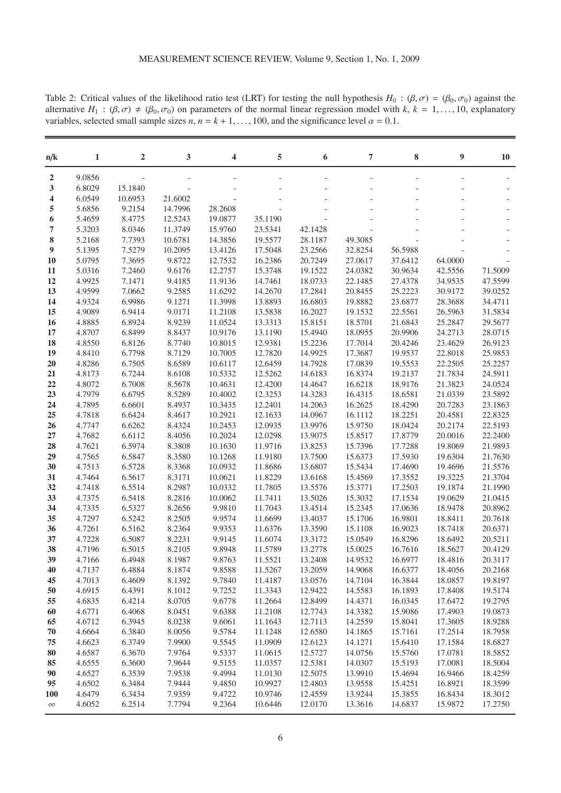<span id="page-5-0"></span>Table 2: Critical values of the likelihood ratio test (LRT) for testing the null hypothesis  $H_0$ : ( $\beta$ ,  $\sigma$ ) = ( $\beta_0$ ,  $\sigma_0$ ) against the alternative  $H_1$ :  $(\beta, \sigma) \neq (\beta_0, \sigma_0)$  on parameters of the normal linear regression model with  $k, k = 1, \ldots, 10$ , explanatory variables, selected small sample sizes *n*,  $n = k + 1, \ldots, 100$ , and the significance level  $\alpha = 0.1$ .

| n/k            | 1                | $\overline{2}$   | 3                | 4                  | 5                  | 6                  | 7                  | 8                  | 9                  | <b>10</b>          |
|----------------|------------------|------------------|------------------|--------------------|--------------------|--------------------|--------------------|--------------------|--------------------|--------------------|
| $\overline{2}$ | 9.0856           |                  |                  |                    |                    |                    |                    |                    |                    |                    |
| 3              | 6.8029           | 15.1840          |                  |                    |                    |                    |                    |                    |                    |                    |
| 4              | 6.0549           | 10.6953          | 21.6002          |                    |                    |                    |                    |                    |                    |                    |
| 5              | 5.6856           | 9.2154           | 14.7996          | 28.2608            |                    |                    |                    |                    |                    |                    |
| 6              | 5.4659           | 8.4775           | 12.5243          | 19.0877            | 35.1190            |                    |                    |                    |                    |                    |
| 7              | 5.3203           | 8.0346           | 11.3749          | 15.9760            | 23.5341            | 42.1428            |                    |                    |                    |                    |
| 8              | 5.2168           | 7.7393           | 10.6781          | 14.3856            | 19.5577            | 28.1187            | 49.3085            |                    |                    |                    |
| 9              | 5.1395           | 7.5279           | 10.2095          | 13.4126            | 17.5048            | 23.2566            | 32.8254            | 56.5988            |                    |                    |
| <b>10</b>      | 5.0795           | 7.3695           | 9.8722           | 12.7532            | 16.2386            | 20.7249            | 27.0617            | 37.6412            | 64.0000            |                    |
| 11             | 5.0316           | 7.2460           | 9.6176           | 12.2757            | 15.3748            | 19.1522            | 24.0382            | 30.9634            | 42.5556            | 71.5009            |
| 12             | 4.9925           | 7.1471           | 9.4185           | 11.9136            | 14.7461            | 18.0733            | 22.1485            | 27.4378            | 34.9535            | 47.5599            |
| 13             | 4.9599           | 7.0662           | 9.2585           | 11.6292            | 14.2670            | 17.2841            | 20.8455            | 25.2223            | 30.9172            | 39.0252            |
| 14             | 4.9324           | 6.9986           | 9.1271           | 11.3998            | 13.8893            | 16.6803            | 19.8882            | 23.6877            | 28.3688            | 34.4711            |
| 15             | 4.9089           | 6.9414           | 9.0171           | 11.2108            | 13.5838            | 16.2027            | 19.1532            | 22.5561            | 26.5963            | 31.5834            |
| <b>16</b>      | 4.8885           | 6.8924           | 8.9239<br>8.8437 | 11.0524            | 13.3313            | 15.8151            | 18.5701            | 21.6843            | 25.2847            | 29.5677            |
| 17             | 4.8707           | 6.8499           |                  | 10.9176            | 13.1190<br>12.9381 | 15.4940            | 18.0955            | 20.9906            | 24.2713            | 28.0715            |
| 18<br>19       | 4.8550<br>4.8410 | 6.8126<br>6.7798 | 8.7740<br>8.7129 | 10.8015<br>10.7005 | 12.7820            | 15.2236<br>14.9925 | 17.7014<br>17.3687 | 20.4246<br>19.9537 | 23.4629<br>22.8018 | 26.9123<br>25.9853 |
| <b>20</b>      | 4.8286           | 6.7505           | 8.6589           | 10.6117            | 12.6459            | 14.7928            | 17.0839            | 19.5553            | 22.2505            | 25.2257            |
| 21             | 4.8173           | 6.7244           | 8.6108           | 10.5332            | 12.5262            | 14.6183            | 16.8374            | 19.2137            | 21.7834            | 24.5911            |
| 22             | 4.8072           | 6.7008           | 8.5678           | 10.4631            | 12.4200            | 14.4647            | 16.6218            | 18.9176            | 21.3823            | 24.0524            |
| 23             | 4.7979           | 6.6795           | 8.5289           | 10.4002            | 12.3253            | 14.3283            | 16.4315            | 18.6581            | 21.0339            | 23.5892            |
| 24             | 4.7895           | 6.6601           | 8.4937           | 10.3435            | 12.2401            | 14.2063            | 16.2625            | 18.4290            | 20.7283            | 23.1863            |
| 25             | 4.7818           | 6.6424           | 8.4617           | 10.2921            | 12.1633            | 14.0967            | 16.1112            | 18.2251            | 20.4581            | 22.8325            |
| 26             | 4.7747           | 6.6262           | 8.4324           | 10.2453            | 12.0935            | 13.9976            | 15.9750            | 18.0424            | 20.2174            | 22.5193            |
| 27             | 4.7682           | 6.6112           | 8.4056           | 10.2024            | 12.0298            | 13.9075            | 15.8517            | 17.8779            | 20.0016            | 22.2400            |
| 28             | 4.7621           | 6.5974           | 8.3808           | 10.1630            | 11.9716            | 13.8253            | 15.7396            | 17.7288            | 19.8069            | 21.9893            |
| 29             | 4.7565           | 6.5847           | 8.3580           | 10.1268            | 11.9180            | 13.7500            | 15.6373            | 17.5930            | 19.6304            | 21.7630            |
| 30             | 4.7513           | 6.5728           | 8.3368           | 10.0932            | 11.8686            | 13.6807            | 15.5434            | 17.4690            | 19.4696            | 21.5576            |
| 31             | 4.7464           | 6.5617           | 8.3171           | 10.0621            | 11.8229            | 13.6168            | 15.4569            | 17.3552            | 19.3225            | 21.3704            |
| 32             | 4.7418           | 6.5514           | 8.2987           | 10.0332            | 11.7805            | 13.5576            | 15.3771            | 17.2503            | 19.1874            | 21.1990            |
| 33             | 4.7375           | 6.5418           | 8.2816           | 10.0062            | 11.7411            | 13.5026            | 15.3032            | 17.1534            | 19.0629            | 21.0415            |
| 34             | 4.7335           | 6.5327           | 8.2656           | 9.9810             | 11.7043            | 13.4514            | 15.2345            | 17.0636            | 18.9478            | 20.8962            |
| 35             | 4.7297           | 6.5242           | 8.2505           | 9.9574             | 11.6699            | 13.4037            | 15.1706            | 16.9801            | 18.8411            | 20.7618            |
| 36             | 4.7261           | 6.5162           | 8.2364           | 9.9353             | 11.6376            | 13.3590            | 15.1108            | 16.9023            | 18.7418            | 20.6371            |
| 37             | 4.7228           | 6.5087           | 8.2231           | 9.9145             | 11.6074            | 13.3172            | 15.0549            | 16.8296            | 18.6492            | 20.5211            |
| 38             | 4.7196           | 6.5015           | 8.2105           | 9.8948             | 11.5789            | 13.2778            | 15.0025            | 16.7616            | 18.5627            | 20.4129            |
| 39             | 4.7166           | 6.4948           | 8.1987           | 9.8763             | 11.5521            | 13.2408            | 14.9532            | 16.6977            | 18.4816            | 20.3117            |
| 40             | 4.7137           | 6.4884           | 8.1874           | 9.8588             | 11.5267            | 13.2059            | 14.9068            | 16.6377            | 18.4056            | 20.2168            |
| 45             | 4.7013           | 6.4609           | 8.1392           | 9.7840             | 11.4187            | 13.0576            | 14.7104            | 16.3844            | 18.0857            | 19.8197            |
| 50             | 4.6915           | 6.4391           | 8.1012           | 9.7252             | 11.3343            | 12.9422            | 14.5583            | 16.1893            | 17.8408            | 19.5174            |
| 55             | 4.6835           | 6.4214           | 8.0705           | 9.6778             | 11.2664            | 12.8499            | 14.4371            | 16.0345            | 17.6472            | 19.2795            |
| 60             | 4.6771           | 6.4068           | 8.0451           | 9.6388             | 11.2108            | 12.7743            | 14.3382            | 15.9086            | 17.4903            | 19.0873            |
| 65             | 4.6712           | 6.3945           | 8.0238           | 9.6061             | 11.1643            | 12.7113            | 14.2559            | 15.8041            | 17.3605            | 18.9288            |
| 70             | 4.6664           | 6.3840           | 8.0056           | 9.5784             | 11.1248            | 12.6580            | 14.1865            | 15.7161            | 17.2514            | 18.7958            |
| 75             | 4.6623           | 6.3749           | 7.9900           | 9.5545             | 11.0909            | 12.6123            | 14.1271            | 15.6410            | 17.1584            | 18.6827            |
| 80             | 4.6587           | 6.3670           | 7.9764<br>7.9644 | 9.5337             | 11.0615            | 12.5727            | 14.0756            | 15.5760            | 17.0781            | 18.5852            |
| 85<br>90       | 4.6555<br>4.6527 | 6.3600<br>6.3539 | 7.9538           | 9.5155<br>9.4994   | 11.0357            | 12.5381<br>12.5075 | 14.0307<br>13.9910 | 15.5193            | 17.0081<br>16.9466 | 18.5004            |
| 95             | 4.6502           | 6.3484           | 7.9444           | 9.4850             | 11.0130<br>10.9927 | 12.4803            | 13.9558            | 15.4694<br>15.4251 | 16.8921            | 18.4259<br>18.3599 |
| <b>100</b>     | 4.6479           | 6.3434           | 7.9359           | 9.4722             | 10.9746            | 12.4559            | 13.9244            | 15.3855            | 16.8434            | 18.3012            |
| $\infty$       | 4.6052           | 6.2514           | 7.7794           | 9.2364             | 10.6446            | 12.0170            | 13.3616            | 14.6837            | 15.9872            | 17.2750            |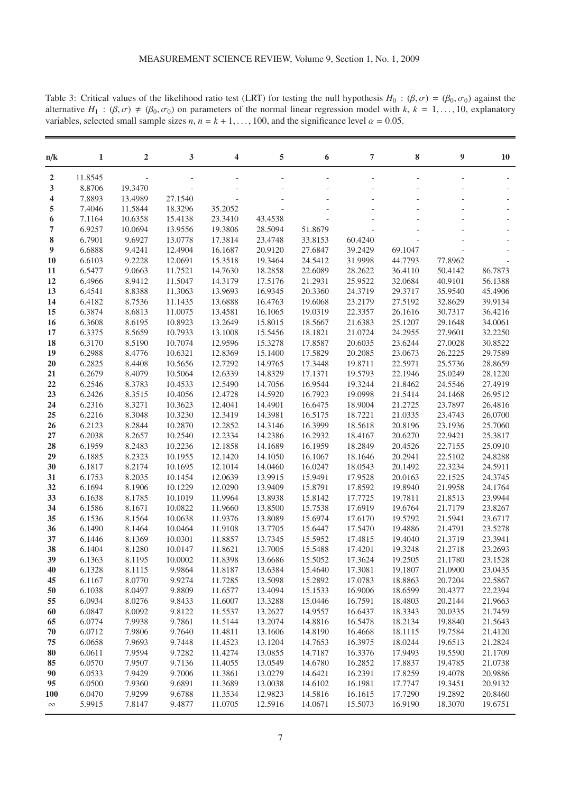| $\boldsymbol{2}$<br>11.8545<br>3<br>19.3470<br>8.8706<br>7.8893<br>13.4989<br>27.1540<br>4<br>7.4046<br>11.5844<br>18.3296<br>35.2052<br>5<br>23.3410<br>43.4538<br>6<br>7.1164<br>10.6358<br>15.4138<br>7<br>6.9257<br>10.0694<br>19.3806<br>28.5094<br>13.9556<br>51.8679<br>8<br>6.7901<br>9.6927<br>13.0778<br>17.3814<br>23.4748<br>33.8153<br>60.4240<br>$\boldsymbol{9}$<br>6.6888<br>9.4241<br>20.9120<br>39.2429<br>69.1047<br>12.4904<br>16.1687<br>27.6847<br>6.6103<br>9.2228<br>12.0691<br>15.3518<br>19.3464<br>24.5412<br>31.9998<br>44.7793<br>77.8962<br><b>10</b><br>6.5477<br>9.0663<br>11.7521<br>14.7630<br>18.2858<br>22.6089<br>28.2622<br>50.4142<br>11<br>36.4110<br>86.7873<br>6.4966<br>14.3179<br>17.5176<br>25.9522<br>40.9101<br>56.1388<br>12<br>8.9412<br>11.5047<br>21.2931<br>32.0684<br>13<br>6.4541<br>8.8388<br>11.3063<br>13.9693<br>16.9345<br>20.3360<br>24.3719<br>29.3717<br>35.9540<br>45.4906<br>14<br>6.4182<br>8.7536<br>11.1435<br>13.6888<br>16.4763<br>19.6068<br>23.2179<br>27.5192<br>32.8629<br>39.9134<br>6.3874<br>8.6813<br>13.4581<br>16.1065<br>22.3357<br>30.7317<br>36.4216<br>15<br>11.0075<br>19.0319<br>26.1616<br>8.6195<br>13.2649<br>15.8015<br>21.6383<br>29.1648<br>34.0061<br>16<br>6.3608<br>10.8923<br>18.5667<br>25.1207<br>8.5659<br>13.1008<br>24.2955<br>27.9601<br>32.2250<br>17<br>6.3375<br>10.7933<br>15.5456<br>18.1821<br>21.0724<br>6.3170<br>8.5190<br>12.9596<br>15.3278<br>20.6035<br>27.0028<br>30.8522<br>18<br>10.7074<br>17.8587<br>23.6244<br>6.2988<br>8.4776<br>12.8369<br>15.1400<br>17.5829<br>20.2085<br>26.2225<br>29.7589<br>19<br>10.6321<br>23.0673<br>6.2825<br>8.4408<br>10.5656<br>12.7292<br>14.9765<br>17.3448<br>19.8711<br>22.5971<br>25.5736<br>28.8659<br>20<br>6.2679<br>8.4079<br>12.6339<br>14.8329<br>19.5793<br>22.1946<br>25.0249<br>28.1220<br>21<br>10.5064<br>17.1371<br>22<br>6.2546<br>8.3783<br>10.4533<br>12.5490<br>14.7056<br>16.9544<br>19.3244<br>21.8462<br>24.5546<br>27.4919<br>23<br>6.2426<br>8.3515<br>10.4056<br>12.4728<br>14.5920<br>16.7923<br>19.0998<br>21.5414<br>24.1468<br>26.9512<br>24<br>6.2316<br>8.3271<br>12.4041<br>14.4901<br>18.9004<br>21.2725<br>23.7897<br>26.4816<br>10.3623<br>16.6475<br>25<br>6.2216<br>8.3048<br>10.3230<br>12.3419<br>14.3981<br>16.5175<br>18.7221<br>21.0335<br>23.4743<br>26.0700<br>8.2844<br>26<br>6.2123<br>10.2870<br>12.2852<br>14.3146<br>16.3999<br>18.5618<br>20.8196<br>23.1936<br>25.7060<br>27<br>6.2038<br>8.2657<br>10.2540<br>12.2334<br>14.2386<br>16.2932<br>18.4167<br>22.9421<br>25.3817<br>20.6270<br>22.7155<br>28<br>6.1959<br>8.2483<br>10.2236<br>12.1858<br>14.1689<br>16.1959<br>18.2849<br>20.4526<br>25.0910<br>8.2323<br>22.5102<br>24.8288<br>29<br>6.1885<br>10.1955<br>12.1420<br>14.1050<br>16.1067<br>18.1646<br>20.2941<br>30<br>6.1817<br>8.2174<br>12.1014<br>14.0460<br>18.0543<br>20.1492<br>22.3234<br>24.5911<br>10.1695<br>16.0247<br>6.1753<br>8.2035<br>10.1454<br>12.0639<br>13.9915<br>15.9491<br>17.9528<br>20.0163<br>22.1525<br>24.3745<br>31<br>8.1906<br>10.1229<br>12.0290<br>13.9409<br>15.8791<br>17.8592<br>21.9958<br>24.1764<br>32<br>6.1694<br>19.8940<br>33<br>10.1019<br>11.9964<br>13.8938<br>21.8513<br>23.9944<br>6.1638<br>8.1785<br>15.8142<br>17.7725<br>19.7811<br>6.1586<br>8.1671<br>10.0822<br>13.8500<br>15.7538<br>17.6919<br>21.7179<br>23.8267<br>34<br>11.9660<br>19.6764<br>35<br>6.1536<br>8.1564<br>10.0638<br>11.9376<br>13.8089<br>15.6974<br>17.6170<br>19.5792<br>21.5941<br>23.6717<br>13.7705<br>17.5470<br>19.4886<br>21.4791<br>23.5278<br>36<br>6.1490<br>8.1464<br>10.0464<br>11.9108<br>15.6447<br>37<br>10.0301<br>11.8857<br>13.7345<br>17.4815<br>19.4040<br>21.3719<br>23.3941<br>6.1446<br>8.1369<br>15.5952<br>38<br>6.1404<br>8.1280<br>13.7005<br>15.5488<br>17.4201<br>19.3248<br>23.2693<br>10.0147<br>11.8621<br>21.2718<br>39<br>11.8398<br>23.1528<br>6.1363<br>8.1195<br>10.0002<br>13.6686<br>15.5052<br>17.3624<br>19.2505<br>21.1780<br>6.1328<br>8.1115<br>9.9864<br>11.8187<br>13.6384<br>15.4640<br>17.3081<br>19.1807<br>21.0900<br>23.0435<br>40<br>8.0770<br>9.9274<br>11.7285<br>13.5098<br>17.0783<br>22.5867<br>45<br>6.1167<br>15.2892<br>18.8863<br>20.7204<br>6.1038<br>8.0497<br>9.8809<br>11.6577<br>13.4094<br>16.9006<br>18.6599<br>20.4377<br>22.2394<br>50<br>15.1533<br>8.0276<br>55<br>6.0934<br>9.8433<br>11.6007<br>13.3288<br>15.0446<br>16.7591<br>18.4803<br>20.2144<br>21.9663<br>8.0092<br>6.0847<br>9.8122<br>11.5537<br>13.2627<br>14.9557<br>16.6437<br>20.0335<br>21.7459<br>60<br>18.3343<br>6.0774<br>7.9938<br>9.7861<br>11.5144<br>13.2074<br>14.8816<br>16.5478<br>18.2134<br>19.8840<br>21.5643<br>65<br>6.0712<br>7.9806<br>9.7640<br>11.4811<br>13.1606<br>16.4668<br>18.1115<br>19.7584<br>21.4120<br>70<br>14.8190<br>7.9693<br>9.7448<br>11.4523<br>13.1204<br>16.3975<br>19.6513<br>21.2824<br>75<br>6.0658<br>14.7653<br>18.0244<br>${\bf 80}$<br>7.9594<br>9.7282<br>11.4274<br>13.0855<br>16.3376<br>19.5590<br>21.1709<br>6.0611<br>14.7187<br>17.9493<br>85<br>6.0570<br>7.9507<br>9.7136<br>11.4055<br>13.0549<br>16.2852<br>19.4785<br>21.0738<br>14.6780<br>17.8837<br>6.0533<br>7.9429<br>9.7006<br>11.3861<br>16.2391<br>19.4078<br>20.9886<br>90<br>13.0279<br>14.6421<br>17.8259<br>6.0500<br>7.9360<br>9.6891<br>11.3689<br>13.0038<br>14.6102<br>16.1981<br>17.7747<br>19.3451<br>20.9132<br>95<br>6.0470<br>7.9299<br>9.6788<br>11.3534<br>12.9823<br>14.5816<br>16.1615<br>17.7290<br>19.2892<br>20.8460<br>100 |          |        |        |        |         |         |         |         |         |         |           |
|---------------------------------------------------------------------------------------------------------------------------------------------------------------------------------------------------------------------------------------------------------------------------------------------------------------------------------------------------------------------------------------------------------------------------------------------------------------------------------------------------------------------------------------------------------------------------------------------------------------------------------------------------------------------------------------------------------------------------------------------------------------------------------------------------------------------------------------------------------------------------------------------------------------------------------------------------------------------------------------------------------------------------------------------------------------------------------------------------------------------------------------------------------------------------------------------------------------------------------------------------------------------------------------------------------------------------------------------------------------------------------------------------------------------------------------------------------------------------------------------------------------------------------------------------------------------------------------------------------------------------------------------------------------------------------------------------------------------------------------------------------------------------------------------------------------------------------------------------------------------------------------------------------------------------------------------------------------------------------------------------------------------------------------------------------------------------------------------------------------------------------------------------------------------------------------------------------------------------------------------------------------------------------------------------------------------------------------------------------------------------------------------------------------------------------------------------------------------------------------------------------------------------------------------------------------------------------------------------------------------------------------------------------------------------------------------------------------------------------------------------------------------------------------------------------------------------------------------------------------------------------------------------------------------------------------------------------------------------------------------------------------------------------------------------------------------------------------------------------------------------------------------------------------------------------------------------------------------------------------------------------------------------------------------------------------------------------------------------------------------------------------------------------------------------------------------------------------------------------------------------------------------------------------------------------------------------------------------------------------------------------------------------------------------------------------------------------------------------------------------------------------------------------------------------------------------------------------------------------------------------------------------------------------------------------------------------------------------------------------------------------------------------------------------------------------------------------------------------------------------------------------------------------------------------------------------------------------------------------------------------------------------------------------------------------------------------------------------------------------------------------------------------------------------------------------------------------------------------------------------------------------------------------------------------------------------------------------------------------------------------------------------------------------------------------------------------------------------------------------------------------------------------------------------------------------------------------------------------------------------------------------------------------------------------------------------------------------------------------------------------------------------------------------------------------------------------------------------------------------------------------------------------------------------------------------------------------------------------------------------------------------------------------------------------------------------------------------------------------------------------------------------------------------------------------------------------------------------------------------------------------------------------------------------------------------------|----------|--------|--------|--------|---------|---------|---------|---------|---------|---------|-----------|
|                                                                                                                                                                                                                                                                                                                                                                                                                                                                                                                                                                                                                                                                                                                                                                                                                                                                                                                                                                                                                                                                                                                                                                                                                                                                                                                                                                                                                                                                                                                                                                                                                                                                                                                                                                                                                                                                                                                                                                                                                                                                                                                                                                                                                                                                                                                                                                                                                                                                                                                                                                                                                                                                                                                                                                                                                                                                                                                                                                                                                                                                                                                                                                                                                                                                                                                                                                                                                                                                                                                                                                                                                                                                                                                                                                                                                                                                                                                                                                                                                                                                                                                                                                                                                                                                                                                                                                                                                                                                                                                                                                                                                                                                                                                                                                                                                                                                                                                                                                                                                                                                                                                                                                                                                                                                                                                                                                                                                                                                                                                                                                     | n/k      | 1      | 2      | 3      | 4       | 5       | 6       | 7       | 8       | 9       | <b>10</b> |
|                                                                                                                                                                                                                                                                                                                                                                                                                                                                                                                                                                                                                                                                                                                                                                                                                                                                                                                                                                                                                                                                                                                                                                                                                                                                                                                                                                                                                                                                                                                                                                                                                                                                                                                                                                                                                                                                                                                                                                                                                                                                                                                                                                                                                                                                                                                                                                                                                                                                                                                                                                                                                                                                                                                                                                                                                                                                                                                                                                                                                                                                                                                                                                                                                                                                                                                                                                                                                                                                                                                                                                                                                                                                                                                                                                                                                                                                                                                                                                                                                                                                                                                                                                                                                                                                                                                                                                                                                                                                                                                                                                                                                                                                                                                                                                                                                                                                                                                                                                                                                                                                                                                                                                                                                                                                                                                                                                                                                                                                                                                                                                     |          |        |        |        |         |         |         |         |         |         |           |
|                                                                                                                                                                                                                                                                                                                                                                                                                                                                                                                                                                                                                                                                                                                                                                                                                                                                                                                                                                                                                                                                                                                                                                                                                                                                                                                                                                                                                                                                                                                                                                                                                                                                                                                                                                                                                                                                                                                                                                                                                                                                                                                                                                                                                                                                                                                                                                                                                                                                                                                                                                                                                                                                                                                                                                                                                                                                                                                                                                                                                                                                                                                                                                                                                                                                                                                                                                                                                                                                                                                                                                                                                                                                                                                                                                                                                                                                                                                                                                                                                                                                                                                                                                                                                                                                                                                                                                                                                                                                                                                                                                                                                                                                                                                                                                                                                                                                                                                                                                                                                                                                                                                                                                                                                                                                                                                                                                                                                                                                                                                                                                     |          |        |        |        |         |         |         |         |         |         |           |
|                                                                                                                                                                                                                                                                                                                                                                                                                                                                                                                                                                                                                                                                                                                                                                                                                                                                                                                                                                                                                                                                                                                                                                                                                                                                                                                                                                                                                                                                                                                                                                                                                                                                                                                                                                                                                                                                                                                                                                                                                                                                                                                                                                                                                                                                                                                                                                                                                                                                                                                                                                                                                                                                                                                                                                                                                                                                                                                                                                                                                                                                                                                                                                                                                                                                                                                                                                                                                                                                                                                                                                                                                                                                                                                                                                                                                                                                                                                                                                                                                                                                                                                                                                                                                                                                                                                                                                                                                                                                                                                                                                                                                                                                                                                                                                                                                                                                                                                                                                                                                                                                                                                                                                                                                                                                                                                                                                                                                                                                                                                                                                     |          |        |        |        |         |         |         |         |         |         |           |
|                                                                                                                                                                                                                                                                                                                                                                                                                                                                                                                                                                                                                                                                                                                                                                                                                                                                                                                                                                                                                                                                                                                                                                                                                                                                                                                                                                                                                                                                                                                                                                                                                                                                                                                                                                                                                                                                                                                                                                                                                                                                                                                                                                                                                                                                                                                                                                                                                                                                                                                                                                                                                                                                                                                                                                                                                                                                                                                                                                                                                                                                                                                                                                                                                                                                                                                                                                                                                                                                                                                                                                                                                                                                                                                                                                                                                                                                                                                                                                                                                                                                                                                                                                                                                                                                                                                                                                                                                                                                                                                                                                                                                                                                                                                                                                                                                                                                                                                                                                                                                                                                                                                                                                                                                                                                                                                                                                                                                                                                                                                                                                     |          |        |        |        |         |         |         |         |         |         |           |
|                                                                                                                                                                                                                                                                                                                                                                                                                                                                                                                                                                                                                                                                                                                                                                                                                                                                                                                                                                                                                                                                                                                                                                                                                                                                                                                                                                                                                                                                                                                                                                                                                                                                                                                                                                                                                                                                                                                                                                                                                                                                                                                                                                                                                                                                                                                                                                                                                                                                                                                                                                                                                                                                                                                                                                                                                                                                                                                                                                                                                                                                                                                                                                                                                                                                                                                                                                                                                                                                                                                                                                                                                                                                                                                                                                                                                                                                                                                                                                                                                                                                                                                                                                                                                                                                                                                                                                                                                                                                                                                                                                                                                                                                                                                                                                                                                                                                                                                                                                                                                                                                                                                                                                                                                                                                                                                                                                                                                                                                                                                                                                     |          |        |        |        |         |         |         |         |         |         |           |
|                                                                                                                                                                                                                                                                                                                                                                                                                                                                                                                                                                                                                                                                                                                                                                                                                                                                                                                                                                                                                                                                                                                                                                                                                                                                                                                                                                                                                                                                                                                                                                                                                                                                                                                                                                                                                                                                                                                                                                                                                                                                                                                                                                                                                                                                                                                                                                                                                                                                                                                                                                                                                                                                                                                                                                                                                                                                                                                                                                                                                                                                                                                                                                                                                                                                                                                                                                                                                                                                                                                                                                                                                                                                                                                                                                                                                                                                                                                                                                                                                                                                                                                                                                                                                                                                                                                                                                                                                                                                                                                                                                                                                                                                                                                                                                                                                                                                                                                                                                                                                                                                                                                                                                                                                                                                                                                                                                                                                                                                                                                                                                     |          |        |        |        |         |         |         |         |         |         |           |
|                                                                                                                                                                                                                                                                                                                                                                                                                                                                                                                                                                                                                                                                                                                                                                                                                                                                                                                                                                                                                                                                                                                                                                                                                                                                                                                                                                                                                                                                                                                                                                                                                                                                                                                                                                                                                                                                                                                                                                                                                                                                                                                                                                                                                                                                                                                                                                                                                                                                                                                                                                                                                                                                                                                                                                                                                                                                                                                                                                                                                                                                                                                                                                                                                                                                                                                                                                                                                                                                                                                                                                                                                                                                                                                                                                                                                                                                                                                                                                                                                                                                                                                                                                                                                                                                                                                                                                                                                                                                                                                                                                                                                                                                                                                                                                                                                                                                                                                                                                                                                                                                                                                                                                                                                                                                                                                                                                                                                                                                                                                                                                     |          |        |        |        |         |         |         |         |         |         |           |
|                                                                                                                                                                                                                                                                                                                                                                                                                                                                                                                                                                                                                                                                                                                                                                                                                                                                                                                                                                                                                                                                                                                                                                                                                                                                                                                                                                                                                                                                                                                                                                                                                                                                                                                                                                                                                                                                                                                                                                                                                                                                                                                                                                                                                                                                                                                                                                                                                                                                                                                                                                                                                                                                                                                                                                                                                                                                                                                                                                                                                                                                                                                                                                                                                                                                                                                                                                                                                                                                                                                                                                                                                                                                                                                                                                                                                                                                                                                                                                                                                                                                                                                                                                                                                                                                                                                                                                                                                                                                                                                                                                                                                                                                                                                                                                                                                                                                                                                                                                                                                                                                                                                                                                                                                                                                                                                                                                                                                                                                                                                                                                     |          |        |        |        |         |         |         |         |         |         |           |
|                                                                                                                                                                                                                                                                                                                                                                                                                                                                                                                                                                                                                                                                                                                                                                                                                                                                                                                                                                                                                                                                                                                                                                                                                                                                                                                                                                                                                                                                                                                                                                                                                                                                                                                                                                                                                                                                                                                                                                                                                                                                                                                                                                                                                                                                                                                                                                                                                                                                                                                                                                                                                                                                                                                                                                                                                                                                                                                                                                                                                                                                                                                                                                                                                                                                                                                                                                                                                                                                                                                                                                                                                                                                                                                                                                                                                                                                                                                                                                                                                                                                                                                                                                                                                                                                                                                                                                                                                                                                                                                                                                                                                                                                                                                                                                                                                                                                                                                                                                                                                                                                                                                                                                                                                                                                                                                                                                                                                                                                                                                                                                     |          |        |        |        |         |         |         |         |         |         |           |
|                                                                                                                                                                                                                                                                                                                                                                                                                                                                                                                                                                                                                                                                                                                                                                                                                                                                                                                                                                                                                                                                                                                                                                                                                                                                                                                                                                                                                                                                                                                                                                                                                                                                                                                                                                                                                                                                                                                                                                                                                                                                                                                                                                                                                                                                                                                                                                                                                                                                                                                                                                                                                                                                                                                                                                                                                                                                                                                                                                                                                                                                                                                                                                                                                                                                                                                                                                                                                                                                                                                                                                                                                                                                                                                                                                                                                                                                                                                                                                                                                                                                                                                                                                                                                                                                                                                                                                                                                                                                                                                                                                                                                                                                                                                                                                                                                                                                                                                                                                                                                                                                                                                                                                                                                                                                                                                                                                                                                                                                                                                                                                     |          |        |        |        |         |         |         |         |         |         |           |
|                                                                                                                                                                                                                                                                                                                                                                                                                                                                                                                                                                                                                                                                                                                                                                                                                                                                                                                                                                                                                                                                                                                                                                                                                                                                                                                                                                                                                                                                                                                                                                                                                                                                                                                                                                                                                                                                                                                                                                                                                                                                                                                                                                                                                                                                                                                                                                                                                                                                                                                                                                                                                                                                                                                                                                                                                                                                                                                                                                                                                                                                                                                                                                                                                                                                                                                                                                                                                                                                                                                                                                                                                                                                                                                                                                                                                                                                                                                                                                                                                                                                                                                                                                                                                                                                                                                                                                                                                                                                                                                                                                                                                                                                                                                                                                                                                                                                                                                                                                                                                                                                                                                                                                                                                                                                                                                                                                                                                                                                                                                                                                     |          |        |        |        |         |         |         |         |         |         |           |
|                                                                                                                                                                                                                                                                                                                                                                                                                                                                                                                                                                                                                                                                                                                                                                                                                                                                                                                                                                                                                                                                                                                                                                                                                                                                                                                                                                                                                                                                                                                                                                                                                                                                                                                                                                                                                                                                                                                                                                                                                                                                                                                                                                                                                                                                                                                                                                                                                                                                                                                                                                                                                                                                                                                                                                                                                                                                                                                                                                                                                                                                                                                                                                                                                                                                                                                                                                                                                                                                                                                                                                                                                                                                                                                                                                                                                                                                                                                                                                                                                                                                                                                                                                                                                                                                                                                                                                                                                                                                                                                                                                                                                                                                                                                                                                                                                                                                                                                                                                                                                                                                                                                                                                                                                                                                                                                                                                                                                                                                                                                                                                     |          |        |        |        |         |         |         |         |         |         |           |
|                                                                                                                                                                                                                                                                                                                                                                                                                                                                                                                                                                                                                                                                                                                                                                                                                                                                                                                                                                                                                                                                                                                                                                                                                                                                                                                                                                                                                                                                                                                                                                                                                                                                                                                                                                                                                                                                                                                                                                                                                                                                                                                                                                                                                                                                                                                                                                                                                                                                                                                                                                                                                                                                                                                                                                                                                                                                                                                                                                                                                                                                                                                                                                                                                                                                                                                                                                                                                                                                                                                                                                                                                                                                                                                                                                                                                                                                                                                                                                                                                                                                                                                                                                                                                                                                                                                                                                                                                                                                                                                                                                                                                                                                                                                                                                                                                                                                                                                                                                                                                                                                                                                                                                                                                                                                                                                                                                                                                                                                                                                                                                     |          |        |        |        |         |         |         |         |         |         |           |
|                                                                                                                                                                                                                                                                                                                                                                                                                                                                                                                                                                                                                                                                                                                                                                                                                                                                                                                                                                                                                                                                                                                                                                                                                                                                                                                                                                                                                                                                                                                                                                                                                                                                                                                                                                                                                                                                                                                                                                                                                                                                                                                                                                                                                                                                                                                                                                                                                                                                                                                                                                                                                                                                                                                                                                                                                                                                                                                                                                                                                                                                                                                                                                                                                                                                                                                                                                                                                                                                                                                                                                                                                                                                                                                                                                                                                                                                                                                                                                                                                                                                                                                                                                                                                                                                                                                                                                                                                                                                                                                                                                                                                                                                                                                                                                                                                                                                                                                                                                                                                                                                                                                                                                                                                                                                                                                                                                                                                                                                                                                                                                     |          |        |        |        |         |         |         |         |         |         |           |
|                                                                                                                                                                                                                                                                                                                                                                                                                                                                                                                                                                                                                                                                                                                                                                                                                                                                                                                                                                                                                                                                                                                                                                                                                                                                                                                                                                                                                                                                                                                                                                                                                                                                                                                                                                                                                                                                                                                                                                                                                                                                                                                                                                                                                                                                                                                                                                                                                                                                                                                                                                                                                                                                                                                                                                                                                                                                                                                                                                                                                                                                                                                                                                                                                                                                                                                                                                                                                                                                                                                                                                                                                                                                                                                                                                                                                                                                                                                                                                                                                                                                                                                                                                                                                                                                                                                                                                                                                                                                                                                                                                                                                                                                                                                                                                                                                                                                                                                                                                                                                                                                                                                                                                                                                                                                                                                                                                                                                                                                                                                                                                     |          |        |        |        |         |         |         |         |         |         |           |
|                                                                                                                                                                                                                                                                                                                                                                                                                                                                                                                                                                                                                                                                                                                                                                                                                                                                                                                                                                                                                                                                                                                                                                                                                                                                                                                                                                                                                                                                                                                                                                                                                                                                                                                                                                                                                                                                                                                                                                                                                                                                                                                                                                                                                                                                                                                                                                                                                                                                                                                                                                                                                                                                                                                                                                                                                                                                                                                                                                                                                                                                                                                                                                                                                                                                                                                                                                                                                                                                                                                                                                                                                                                                                                                                                                                                                                                                                                                                                                                                                                                                                                                                                                                                                                                                                                                                                                                                                                                                                                                                                                                                                                                                                                                                                                                                                                                                                                                                                                                                                                                                                                                                                                                                                                                                                                                                                                                                                                                                                                                                                                     |          |        |        |        |         |         |         |         |         |         |           |
|                                                                                                                                                                                                                                                                                                                                                                                                                                                                                                                                                                                                                                                                                                                                                                                                                                                                                                                                                                                                                                                                                                                                                                                                                                                                                                                                                                                                                                                                                                                                                                                                                                                                                                                                                                                                                                                                                                                                                                                                                                                                                                                                                                                                                                                                                                                                                                                                                                                                                                                                                                                                                                                                                                                                                                                                                                                                                                                                                                                                                                                                                                                                                                                                                                                                                                                                                                                                                                                                                                                                                                                                                                                                                                                                                                                                                                                                                                                                                                                                                                                                                                                                                                                                                                                                                                                                                                                                                                                                                                                                                                                                                                                                                                                                                                                                                                                                                                                                                                                                                                                                                                                                                                                                                                                                                                                                                                                                                                                                                                                                                                     |          |        |        |        |         |         |         |         |         |         |           |
|                                                                                                                                                                                                                                                                                                                                                                                                                                                                                                                                                                                                                                                                                                                                                                                                                                                                                                                                                                                                                                                                                                                                                                                                                                                                                                                                                                                                                                                                                                                                                                                                                                                                                                                                                                                                                                                                                                                                                                                                                                                                                                                                                                                                                                                                                                                                                                                                                                                                                                                                                                                                                                                                                                                                                                                                                                                                                                                                                                                                                                                                                                                                                                                                                                                                                                                                                                                                                                                                                                                                                                                                                                                                                                                                                                                                                                                                                                                                                                                                                                                                                                                                                                                                                                                                                                                                                                                                                                                                                                                                                                                                                                                                                                                                                                                                                                                                                                                                                                                                                                                                                                                                                                                                                                                                                                                                                                                                                                                                                                                                                                     |          |        |        |        |         |         |         |         |         |         |           |
|                                                                                                                                                                                                                                                                                                                                                                                                                                                                                                                                                                                                                                                                                                                                                                                                                                                                                                                                                                                                                                                                                                                                                                                                                                                                                                                                                                                                                                                                                                                                                                                                                                                                                                                                                                                                                                                                                                                                                                                                                                                                                                                                                                                                                                                                                                                                                                                                                                                                                                                                                                                                                                                                                                                                                                                                                                                                                                                                                                                                                                                                                                                                                                                                                                                                                                                                                                                                                                                                                                                                                                                                                                                                                                                                                                                                                                                                                                                                                                                                                                                                                                                                                                                                                                                                                                                                                                                                                                                                                                                                                                                                                                                                                                                                                                                                                                                                                                                                                                                                                                                                                                                                                                                                                                                                                                                                                                                                                                                                                                                                                                     |          |        |        |        |         |         |         |         |         |         |           |
|                                                                                                                                                                                                                                                                                                                                                                                                                                                                                                                                                                                                                                                                                                                                                                                                                                                                                                                                                                                                                                                                                                                                                                                                                                                                                                                                                                                                                                                                                                                                                                                                                                                                                                                                                                                                                                                                                                                                                                                                                                                                                                                                                                                                                                                                                                                                                                                                                                                                                                                                                                                                                                                                                                                                                                                                                                                                                                                                                                                                                                                                                                                                                                                                                                                                                                                                                                                                                                                                                                                                                                                                                                                                                                                                                                                                                                                                                                                                                                                                                                                                                                                                                                                                                                                                                                                                                                                                                                                                                                                                                                                                                                                                                                                                                                                                                                                                                                                                                                                                                                                                                                                                                                                                                                                                                                                                                                                                                                                                                                                                                                     |          |        |        |        |         |         |         |         |         |         |           |
|                                                                                                                                                                                                                                                                                                                                                                                                                                                                                                                                                                                                                                                                                                                                                                                                                                                                                                                                                                                                                                                                                                                                                                                                                                                                                                                                                                                                                                                                                                                                                                                                                                                                                                                                                                                                                                                                                                                                                                                                                                                                                                                                                                                                                                                                                                                                                                                                                                                                                                                                                                                                                                                                                                                                                                                                                                                                                                                                                                                                                                                                                                                                                                                                                                                                                                                                                                                                                                                                                                                                                                                                                                                                                                                                                                                                                                                                                                                                                                                                                                                                                                                                                                                                                                                                                                                                                                                                                                                                                                                                                                                                                                                                                                                                                                                                                                                                                                                                                                                                                                                                                                                                                                                                                                                                                                                                                                                                                                                                                                                                                                     |          |        |        |        |         |         |         |         |         |         |           |
|                                                                                                                                                                                                                                                                                                                                                                                                                                                                                                                                                                                                                                                                                                                                                                                                                                                                                                                                                                                                                                                                                                                                                                                                                                                                                                                                                                                                                                                                                                                                                                                                                                                                                                                                                                                                                                                                                                                                                                                                                                                                                                                                                                                                                                                                                                                                                                                                                                                                                                                                                                                                                                                                                                                                                                                                                                                                                                                                                                                                                                                                                                                                                                                                                                                                                                                                                                                                                                                                                                                                                                                                                                                                                                                                                                                                                                                                                                                                                                                                                                                                                                                                                                                                                                                                                                                                                                                                                                                                                                                                                                                                                                                                                                                                                                                                                                                                                                                                                                                                                                                                                                                                                                                                                                                                                                                                                                                                                                                                                                                                                                     |          |        |        |        |         |         |         |         |         |         |           |
|                                                                                                                                                                                                                                                                                                                                                                                                                                                                                                                                                                                                                                                                                                                                                                                                                                                                                                                                                                                                                                                                                                                                                                                                                                                                                                                                                                                                                                                                                                                                                                                                                                                                                                                                                                                                                                                                                                                                                                                                                                                                                                                                                                                                                                                                                                                                                                                                                                                                                                                                                                                                                                                                                                                                                                                                                                                                                                                                                                                                                                                                                                                                                                                                                                                                                                                                                                                                                                                                                                                                                                                                                                                                                                                                                                                                                                                                                                                                                                                                                                                                                                                                                                                                                                                                                                                                                                                                                                                                                                                                                                                                                                                                                                                                                                                                                                                                                                                                                                                                                                                                                                                                                                                                                                                                                                                                                                                                                                                                                                                                                                     |          |        |        |        |         |         |         |         |         |         |           |
|                                                                                                                                                                                                                                                                                                                                                                                                                                                                                                                                                                                                                                                                                                                                                                                                                                                                                                                                                                                                                                                                                                                                                                                                                                                                                                                                                                                                                                                                                                                                                                                                                                                                                                                                                                                                                                                                                                                                                                                                                                                                                                                                                                                                                                                                                                                                                                                                                                                                                                                                                                                                                                                                                                                                                                                                                                                                                                                                                                                                                                                                                                                                                                                                                                                                                                                                                                                                                                                                                                                                                                                                                                                                                                                                                                                                                                                                                                                                                                                                                                                                                                                                                                                                                                                                                                                                                                                                                                                                                                                                                                                                                                                                                                                                                                                                                                                                                                                                                                                                                                                                                                                                                                                                                                                                                                                                                                                                                                                                                                                                                                     |          |        |        |        |         |         |         |         |         |         |           |
|                                                                                                                                                                                                                                                                                                                                                                                                                                                                                                                                                                                                                                                                                                                                                                                                                                                                                                                                                                                                                                                                                                                                                                                                                                                                                                                                                                                                                                                                                                                                                                                                                                                                                                                                                                                                                                                                                                                                                                                                                                                                                                                                                                                                                                                                                                                                                                                                                                                                                                                                                                                                                                                                                                                                                                                                                                                                                                                                                                                                                                                                                                                                                                                                                                                                                                                                                                                                                                                                                                                                                                                                                                                                                                                                                                                                                                                                                                                                                                                                                                                                                                                                                                                                                                                                                                                                                                                                                                                                                                                                                                                                                                                                                                                                                                                                                                                                                                                                                                                                                                                                                                                                                                                                                                                                                                                                                                                                                                                                                                                                                                     |          |        |        |        |         |         |         |         |         |         |           |
|                                                                                                                                                                                                                                                                                                                                                                                                                                                                                                                                                                                                                                                                                                                                                                                                                                                                                                                                                                                                                                                                                                                                                                                                                                                                                                                                                                                                                                                                                                                                                                                                                                                                                                                                                                                                                                                                                                                                                                                                                                                                                                                                                                                                                                                                                                                                                                                                                                                                                                                                                                                                                                                                                                                                                                                                                                                                                                                                                                                                                                                                                                                                                                                                                                                                                                                                                                                                                                                                                                                                                                                                                                                                                                                                                                                                                                                                                                                                                                                                                                                                                                                                                                                                                                                                                                                                                                                                                                                                                                                                                                                                                                                                                                                                                                                                                                                                                                                                                                                                                                                                                                                                                                                                                                                                                                                                                                                                                                                                                                                                                                     |          |        |        |        |         |         |         |         |         |         |           |
|                                                                                                                                                                                                                                                                                                                                                                                                                                                                                                                                                                                                                                                                                                                                                                                                                                                                                                                                                                                                                                                                                                                                                                                                                                                                                                                                                                                                                                                                                                                                                                                                                                                                                                                                                                                                                                                                                                                                                                                                                                                                                                                                                                                                                                                                                                                                                                                                                                                                                                                                                                                                                                                                                                                                                                                                                                                                                                                                                                                                                                                                                                                                                                                                                                                                                                                                                                                                                                                                                                                                                                                                                                                                                                                                                                                                                                                                                                                                                                                                                                                                                                                                                                                                                                                                                                                                                                                                                                                                                                                                                                                                                                                                                                                                                                                                                                                                                                                                                                                                                                                                                                                                                                                                                                                                                                                                                                                                                                                                                                                                                                     |          |        |        |        |         |         |         |         |         |         |           |
|                                                                                                                                                                                                                                                                                                                                                                                                                                                                                                                                                                                                                                                                                                                                                                                                                                                                                                                                                                                                                                                                                                                                                                                                                                                                                                                                                                                                                                                                                                                                                                                                                                                                                                                                                                                                                                                                                                                                                                                                                                                                                                                                                                                                                                                                                                                                                                                                                                                                                                                                                                                                                                                                                                                                                                                                                                                                                                                                                                                                                                                                                                                                                                                                                                                                                                                                                                                                                                                                                                                                                                                                                                                                                                                                                                                                                                                                                                                                                                                                                                                                                                                                                                                                                                                                                                                                                                                                                                                                                                                                                                                                                                                                                                                                                                                                                                                                                                                                                                                                                                                                                                                                                                                                                                                                                                                                                                                                                                                                                                                                                                     |          |        |        |        |         |         |         |         |         |         |           |
|                                                                                                                                                                                                                                                                                                                                                                                                                                                                                                                                                                                                                                                                                                                                                                                                                                                                                                                                                                                                                                                                                                                                                                                                                                                                                                                                                                                                                                                                                                                                                                                                                                                                                                                                                                                                                                                                                                                                                                                                                                                                                                                                                                                                                                                                                                                                                                                                                                                                                                                                                                                                                                                                                                                                                                                                                                                                                                                                                                                                                                                                                                                                                                                                                                                                                                                                                                                                                                                                                                                                                                                                                                                                                                                                                                                                                                                                                                                                                                                                                                                                                                                                                                                                                                                                                                                                                                                                                                                                                                                                                                                                                                                                                                                                                                                                                                                                                                                                                                                                                                                                                                                                                                                                                                                                                                                                                                                                                                                                                                                                                                     |          |        |        |        |         |         |         |         |         |         |           |
|                                                                                                                                                                                                                                                                                                                                                                                                                                                                                                                                                                                                                                                                                                                                                                                                                                                                                                                                                                                                                                                                                                                                                                                                                                                                                                                                                                                                                                                                                                                                                                                                                                                                                                                                                                                                                                                                                                                                                                                                                                                                                                                                                                                                                                                                                                                                                                                                                                                                                                                                                                                                                                                                                                                                                                                                                                                                                                                                                                                                                                                                                                                                                                                                                                                                                                                                                                                                                                                                                                                                                                                                                                                                                                                                                                                                                                                                                                                                                                                                                                                                                                                                                                                                                                                                                                                                                                                                                                                                                                                                                                                                                                                                                                                                                                                                                                                                                                                                                                                                                                                                                                                                                                                                                                                                                                                                                                                                                                                                                                                                                                     |          |        |        |        |         |         |         |         |         |         |           |
|                                                                                                                                                                                                                                                                                                                                                                                                                                                                                                                                                                                                                                                                                                                                                                                                                                                                                                                                                                                                                                                                                                                                                                                                                                                                                                                                                                                                                                                                                                                                                                                                                                                                                                                                                                                                                                                                                                                                                                                                                                                                                                                                                                                                                                                                                                                                                                                                                                                                                                                                                                                                                                                                                                                                                                                                                                                                                                                                                                                                                                                                                                                                                                                                                                                                                                                                                                                                                                                                                                                                                                                                                                                                                                                                                                                                                                                                                                                                                                                                                                                                                                                                                                                                                                                                                                                                                                                                                                                                                                                                                                                                                                                                                                                                                                                                                                                                                                                                                                                                                                                                                                                                                                                                                                                                                                                                                                                                                                                                                                                                                                     |          |        |        |        |         |         |         |         |         |         |           |
|                                                                                                                                                                                                                                                                                                                                                                                                                                                                                                                                                                                                                                                                                                                                                                                                                                                                                                                                                                                                                                                                                                                                                                                                                                                                                                                                                                                                                                                                                                                                                                                                                                                                                                                                                                                                                                                                                                                                                                                                                                                                                                                                                                                                                                                                                                                                                                                                                                                                                                                                                                                                                                                                                                                                                                                                                                                                                                                                                                                                                                                                                                                                                                                                                                                                                                                                                                                                                                                                                                                                                                                                                                                                                                                                                                                                                                                                                                                                                                                                                                                                                                                                                                                                                                                                                                                                                                                                                                                                                                                                                                                                                                                                                                                                                                                                                                                                                                                                                                                                                                                                                                                                                                                                                                                                                                                                                                                                                                                                                                                                                                     |          |        |        |        |         |         |         |         |         |         |           |
|                                                                                                                                                                                                                                                                                                                                                                                                                                                                                                                                                                                                                                                                                                                                                                                                                                                                                                                                                                                                                                                                                                                                                                                                                                                                                                                                                                                                                                                                                                                                                                                                                                                                                                                                                                                                                                                                                                                                                                                                                                                                                                                                                                                                                                                                                                                                                                                                                                                                                                                                                                                                                                                                                                                                                                                                                                                                                                                                                                                                                                                                                                                                                                                                                                                                                                                                                                                                                                                                                                                                                                                                                                                                                                                                                                                                                                                                                                                                                                                                                                                                                                                                                                                                                                                                                                                                                                                                                                                                                                                                                                                                                                                                                                                                                                                                                                                                                                                                                                                                                                                                                                                                                                                                                                                                                                                                                                                                                                                                                                                                                                     |          |        |        |        |         |         |         |         |         |         |           |
|                                                                                                                                                                                                                                                                                                                                                                                                                                                                                                                                                                                                                                                                                                                                                                                                                                                                                                                                                                                                                                                                                                                                                                                                                                                                                                                                                                                                                                                                                                                                                                                                                                                                                                                                                                                                                                                                                                                                                                                                                                                                                                                                                                                                                                                                                                                                                                                                                                                                                                                                                                                                                                                                                                                                                                                                                                                                                                                                                                                                                                                                                                                                                                                                                                                                                                                                                                                                                                                                                                                                                                                                                                                                                                                                                                                                                                                                                                                                                                                                                                                                                                                                                                                                                                                                                                                                                                                                                                                                                                                                                                                                                                                                                                                                                                                                                                                                                                                                                                                                                                                                                                                                                                                                                                                                                                                                                                                                                                                                                                                                                                     |          |        |        |        |         |         |         |         |         |         |           |
|                                                                                                                                                                                                                                                                                                                                                                                                                                                                                                                                                                                                                                                                                                                                                                                                                                                                                                                                                                                                                                                                                                                                                                                                                                                                                                                                                                                                                                                                                                                                                                                                                                                                                                                                                                                                                                                                                                                                                                                                                                                                                                                                                                                                                                                                                                                                                                                                                                                                                                                                                                                                                                                                                                                                                                                                                                                                                                                                                                                                                                                                                                                                                                                                                                                                                                                                                                                                                                                                                                                                                                                                                                                                                                                                                                                                                                                                                                                                                                                                                                                                                                                                                                                                                                                                                                                                                                                                                                                                                                                                                                                                                                                                                                                                                                                                                                                                                                                                                                                                                                                                                                                                                                                                                                                                                                                                                                                                                                                                                                                                                                     |          |        |        |        |         |         |         |         |         |         |           |
|                                                                                                                                                                                                                                                                                                                                                                                                                                                                                                                                                                                                                                                                                                                                                                                                                                                                                                                                                                                                                                                                                                                                                                                                                                                                                                                                                                                                                                                                                                                                                                                                                                                                                                                                                                                                                                                                                                                                                                                                                                                                                                                                                                                                                                                                                                                                                                                                                                                                                                                                                                                                                                                                                                                                                                                                                                                                                                                                                                                                                                                                                                                                                                                                                                                                                                                                                                                                                                                                                                                                                                                                                                                                                                                                                                                                                                                                                                                                                                                                                                                                                                                                                                                                                                                                                                                                                                                                                                                                                                                                                                                                                                                                                                                                                                                                                                                                                                                                                                                                                                                                                                                                                                                                                                                                                                                                                                                                                                                                                                                                                                     |          |        |        |        |         |         |         |         |         |         |           |
|                                                                                                                                                                                                                                                                                                                                                                                                                                                                                                                                                                                                                                                                                                                                                                                                                                                                                                                                                                                                                                                                                                                                                                                                                                                                                                                                                                                                                                                                                                                                                                                                                                                                                                                                                                                                                                                                                                                                                                                                                                                                                                                                                                                                                                                                                                                                                                                                                                                                                                                                                                                                                                                                                                                                                                                                                                                                                                                                                                                                                                                                                                                                                                                                                                                                                                                                                                                                                                                                                                                                                                                                                                                                                                                                                                                                                                                                                                                                                                                                                                                                                                                                                                                                                                                                                                                                                                                                                                                                                                                                                                                                                                                                                                                                                                                                                                                                                                                                                                                                                                                                                                                                                                                                                                                                                                                                                                                                                                                                                                                                                                     |          |        |        |        |         |         |         |         |         |         |           |
|                                                                                                                                                                                                                                                                                                                                                                                                                                                                                                                                                                                                                                                                                                                                                                                                                                                                                                                                                                                                                                                                                                                                                                                                                                                                                                                                                                                                                                                                                                                                                                                                                                                                                                                                                                                                                                                                                                                                                                                                                                                                                                                                                                                                                                                                                                                                                                                                                                                                                                                                                                                                                                                                                                                                                                                                                                                                                                                                                                                                                                                                                                                                                                                                                                                                                                                                                                                                                                                                                                                                                                                                                                                                                                                                                                                                                                                                                                                                                                                                                                                                                                                                                                                                                                                                                                                                                                                                                                                                                                                                                                                                                                                                                                                                                                                                                                                                                                                                                                                                                                                                                                                                                                                                                                                                                                                                                                                                                                                                                                                                                                     |          |        |        |        |         |         |         |         |         |         |           |
|                                                                                                                                                                                                                                                                                                                                                                                                                                                                                                                                                                                                                                                                                                                                                                                                                                                                                                                                                                                                                                                                                                                                                                                                                                                                                                                                                                                                                                                                                                                                                                                                                                                                                                                                                                                                                                                                                                                                                                                                                                                                                                                                                                                                                                                                                                                                                                                                                                                                                                                                                                                                                                                                                                                                                                                                                                                                                                                                                                                                                                                                                                                                                                                                                                                                                                                                                                                                                                                                                                                                                                                                                                                                                                                                                                                                                                                                                                                                                                                                                                                                                                                                                                                                                                                                                                                                                                                                                                                                                                                                                                                                                                                                                                                                                                                                                                                                                                                                                                                                                                                                                                                                                                                                                                                                                                                                                                                                                                                                                                                                                                     |          |        |        |        |         |         |         |         |         |         |           |
|                                                                                                                                                                                                                                                                                                                                                                                                                                                                                                                                                                                                                                                                                                                                                                                                                                                                                                                                                                                                                                                                                                                                                                                                                                                                                                                                                                                                                                                                                                                                                                                                                                                                                                                                                                                                                                                                                                                                                                                                                                                                                                                                                                                                                                                                                                                                                                                                                                                                                                                                                                                                                                                                                                                                                                                                                                                                                                                                                                                                                                                                                                                                                                                                                                                                                                                                                                                                                                                                                                                                                                                                                                                                                                                                                                                                                                                                                                                                                                                                                                                                                                                                                                                                                                                                                                                                                                                                                                                                                                                                                                                                                                                                                                                                                                                                                                                                                                                                                                                                                                                                                                                                                                                                                                                                                                                                                                                                                                                                                                                                                                     |          |        |        |        |         |         |         |         |         |         |           |
|                                                                                                                                                                                                                                                                                                                                                                                                                                                                                                                                                                                                                                                                                                                                                                                                                                                                                                                                                                                                                                                                                                                                                                                                                                                                                                                                                                                                                                                                                                                                                                                                                                                                                                                                                                                                                                                                                                                                                                                                                                                                                                                                                                                                                                                                                                                                                                                                                                                                                                                                                                                                                                                                                                                                                                                                                                                                                                                                                                                                                                                                                                                                                                                                                                                                                                                                                                                                                                                                                                                                                                                                                                                                                                                                                                                                                                                                                                                                                                                                                                                                                                                                                                                                                                                                                                                                                                                                                                                                                                                                                                                                                                                                                                                                                                                                                                                                                                                                                                                                                                                                                                                                                                                                                                                                                                                                                                                                                                                                                                                                                                     |          |        |        |        |         |         |         |         |         |         |           |
|                                                                                                                                                                                                                                                                                                                                                                                                                                                                                                                                                                                                                                                                                                                                                                                                                                                                                                                                                                                                                                                                                                                                                                                                                                                                                                                                                                                                                                                                                                                                                                                                                                                                                                                                                                                                                                                                                                                                                                                                                                                                                                                                                                                                                                                                                                                                                                                                                                                                                                                                                                                                                                                                                                                                                                                                                                                                                                                                                                                                                                                                                                                                                                                                                                                                                                                                                                                                                                                                                                                                                                                                                                                                                                                                                                                                                                                                                                                                                                                                                                                                                                                                                                                                                                                                                                                                                                                                                                                                                                                                                                                                                                                                                                                                                                                                                                                                                                                                                                                                                                                                                                                                                                                                                                                                                                                                                                                                                                                                                                                                                                     |          |        |        |        |         |         |         |         |         |         |           |
|                                                                                                                                                                                                                                                                                                                                                                                                                                                                                                                                                                                                                                                                                                                                                                                                                                                                                                                                                                                                                                                                                                                                                                                                                                                                                                                                                                                                                                                                                                                                                                                                                                                                                                                                                                                                                                                                                                                                                                                                                                                                                                                                                                                                                                                                                                                                                                                                                                                                                                                                                                                                                                                                                                                                                                                                                                                                                                                                                                                                                                                                                                                                                                                                                                                                                                                                                                                                                                                                                                                                                                                                                                                                                                                                                                                                                                                                                                                                                                                                                                                                                                                                                                                                                                                                                                                                                                                                                                                                                                                                                                                                                                                                                                                                                                                                                                                                                                                                                                                                                                                                                                                                                                                                                                                                                                                                                                                                                                                                                                                                                                     |          |        |        |        |         |         |         |         |         |         |           |
|                                                                                                                                                                                                                                                                                                                                                                                                                                                                                                                                                                                                                                                                                                                                                                                                                                                                                                                                                                                                                                                                                                                                                                                                                                                                                                                                                                                                                                                                                                                                                                                                                                                                                                                                                                                                                                                                                                                                                                                                                                                                                                                                                                                                                                                                                                                                                                                                                                                                                                                                                                                                                                                                                                                                                                                                                                                                                                                                                                                                                                                                                                                                                                                                                                                                                                                                                                                                                                                                                                                                                                                                                                                                                                                                                                                                                                                                                                                                                                                                                                                                                                                                                                                                                                                                                                                                                                                                                                                                                                                                                                                                                                                                                                                                                                                                                                                                                                                                                                                                                                                                                                                                                                                                                                                                                                                                                                                                                                                                                                                                                                     |          |        |        |        |         |         |         |         |         |         |           |
|                                                                                                                                                                                                                                                                                                                                                                                                                                                                                                                                                                                                                                                                                                                                                                                                                                                                                                                                                                                                                                                                                                                                                                                                                                                                                                                                                                                                                                                                                                                                                                                                                                                                                                                                                                                                                                                                                                                                                                                                                                                                                                                                                                                                                                                                                                                                                                                                                                                                                                                                                                                                                                                                                                                                                                                                                                                                                                                                                                                                                                                                                                                                                                                                                                                                                                                                                                                                                                                                                                                                                                                                                                                                                                                                                                                                                                                                                                                                                                                                                                                                                                                                                                                                                                                                                                                                                                                                                                                                                                                                                                                                                                                                                                                                                                                                                                                                                                                                                                                                                                                                                                                                                                                                                                                                                                                                                                                                                                                                                                                                                                     |          |        |        |        |         |         |         |         |         |         |           |
|                                                                                                                                                                                                                                                                                                                                                                                                                                                                                                                                                                                                                                                                                                                                                                                                                                                                                                                                                                                                                                                                                                                                                                                                                                                                                                                                                                                                                                                                                                                                                                                                                                                                                                                                                                                                                                                                                                                                                                                                                                                                                                                                                                                                                                                                                                                                                                                                                                                                                                                                                                                                                                                                                                                                                                                                                                                                                                                                                                                                                                                                                                                                                                                                                                                                                                                                                                                                                                                                                                                                                                                                                                                                                                                                                                                                                                                                                                                                                                                                                                                                                                                                                                                                                                                                                                                                                                                                                                                                                                                                                                                                                                                                                                                                                                                                                                                                                                                                                                                                                                                                                                                                                                                                                                                                                                                                                                                                                                                                                                                                                                     |          |        |        |        |         |         |         |         |         |         |           |
|                                                                                                                                                                                                                                                                                                                                                                                                                                                                                                                                                                                                                                                                                                                                                                                                                                                                                                                                                                                                                                                                                                                                                                                                                                                                                                                                                                                                                                                                                                                                                                                                                                                                                                                                                                                                                                                                                                                                                                                                                                                                                                                                                                                                                                                                                                                                                                                                                                                                                                                                                                                                                                                                                                                                                                                                                                                                                                                                                                                                                                                                                                                                                                                                                                                                                                                                                                                                                                                                                                                                                                                                                                                                                                                                                                                                                                                                                                                                                                                                                                                                                                                                                                                                                                                                                                                                                                                                                                                                                                                                                                                                                                                                                                                                                                                                                                                                                                                                                                                                                                                                                                                                                                                                                                                                                                                                                                                                                                                                                                                                                                     |          |        |        |        |         |         |         |         |         |         |           |
|                                                                                                                                                                                                                                                                                                                                                                                                                                                                                                                                                                                                                                                                                                                                                                                                                                                                                                                                                                                                                                                                                                                                                                                                                                                                                                                                                                                                                                                                                                                                                                                                                                                                                                                                                                                                                                                                                                                                                                                                                                                                                                                                                                                                                                                                                                                                                                                                                                                                                                                                                                                                                                                                                                                                                                                                                                                                                                                                                                                                                                                                                                                                                                                                                                                                                                                                                                                                                                                                                                                                                                                                                                                                                                                                                                                                                                                                                                                                                                                                                                                                                                                                                                                                                                                                                                                                                                                                                                                                                                                                                                                                                                                                                                                                                                                                                                                                                                                                                                                                                                                                                                                                                                                                                                                                                                                                                                                                                                                                                                                                                                     |          |        |        |        |         |         |         |         |         |         |           |
|                                                                                                                                                                                                                                                                                                                                                                                                                                                                                                                                                                                                                                                                                                                                                                                                                                                                                                                                                                                                                                                                                                                                                                                                                                                                                                                                                                                                                                                                                                                                                                                                                                                                                                                                                                                                                                                                                                                                                                                                                                                                                                                                                                                                                                                                                                                                                                                                                                                                                                                                                                                                                                                                                                                                                                                                                                                                                                                                                                                                                                                                                                                                                                                                                                                                                                                                                                                                                                                                                                                                                                                                                                                                                                                                                                                                                                                                                                                                                                                                                                                                                                                                                                                                                                                                                                                                                                                                                                                                                                                                                                                                                                                                                                                                                                                                                                                                                                                                                                                                                                                                                                                                                                                                                                                                                                                                                                                                                                                                                                                                                                     |          |        |        |        |         |         |         |         |         |         |           |
|                                                                                                                                                                                                                                                                                                                                                                                                                                                                                                                                                                                                                                                                                                                                                                                                                                                                                                                                                                                                                                                                                                                                                                                                                                                                                                                                                                                                                                                                                                                                                                                                                                                                                                                                                                                                                                                                                                                                                                                                                                                                                                                                                                                                                                                                                                                                                                                                                                                                                                                                                                                                                                                                                                                                                                                                                                                                                                                                                                                                                                                                                                                                                                                                                                                                                                                                                                                                                                                                                                                                                                                                                                                                                                                                                                                                                                                                                                                                                                                                                                                                                                                                                                                                                                                                                                                                                                                                                                                                                                                                                                                                                                                                                                                                                                                                                                                                                                                                                                                                                                                                                                                                                                                                                                                                                                                                                                                                                                                                                                                                                                     |          |        |        |        |         |         |         |         |         |         |           |
|                                                                                                                                                                                                                                                                                                                                                                                                                                                                                                                                                                                                                                                                                                                                                                                                                                                                                                                                                                                                                                                                                                                                                                                                                                                                                                                                                                                                                                                                                                                                                                                                                                                                                                                                                                                                                                                                                                                                                                                                                                                                                                                                                                                                                                                                                                                                                                                                                                                                                                                                                                                                                                                                                                                                                                                                                                                                                                                                                                                                                                                                                                                                                                                                                                                                                                                                                                                                                                                                                                                                                                                                                                                                                                                                                                                                                                                                                                                                                                                                                                                                                                                                                                                                                                                                                                                                                                                                                                                                                                                                                                                                                                                                                                                                                                                                                                                                                                                                                                                                                                                                                                                                                                                                                                                                                                                                                                                                                                                                                                                                                                     |          |        |        |        |         |         |         |         |         |         |           |
|                                                                                                                                                                                                                                                                                                                                                                                                                                                                                                                                                                                                                                                                                                                                                                                                                                                                                                                                                                                                                                                                                                                                                                                                                                                                                                                                                                                                                                                                                                                                                                                                                                                                                                                                                                                                                                                                                                                                                                                                                                                                                                                                                                                                                                                                                                                                                                                                                                                                                                                                                                                                                                                                                                                                                                                                                                                                                                                                                                                                                                                                                                                                                                                                                                                                                                                                                                                                                                                                                                                                                                                                                                                                                                                                                                                                                                                                                                                                                                                                                                                                                                                                                                                                                                                                                                                                                                                                                                                                                                                                                                                                                                                                                                                                                                                                                                                                                                                                                                                                                                                                                                                                                                                                                                                                                                                                                                                                                                                                                                                                                                     | $\infty$ | 5.9915 | 7.8147 | 9.4877 | 11.0705 | 12.5916 | 14.0671 | 15.5073 | 16.9190 | 18.3070 | 19.6751   |

<span id="page-6-0"></span>Table 3: Critical values of the likelihood ratio test (LRT) for testing the null hypothesis  $H_0$ :  $(\beta, \sigma) = (\beta_0, \sigma_0)$  against the alternative  $H_1$ :  $(\beta, \sigma) \neq (\beta_0, \sigma_0)$  on parameters of the normal linear regression model with  $k, k = 1, \ldots, 10$ , explanatory variables, selected small sample sizes *n*,  $n = k + 1, \ldots, 100$ , and the significance level  $\alpha = 0.05$ .